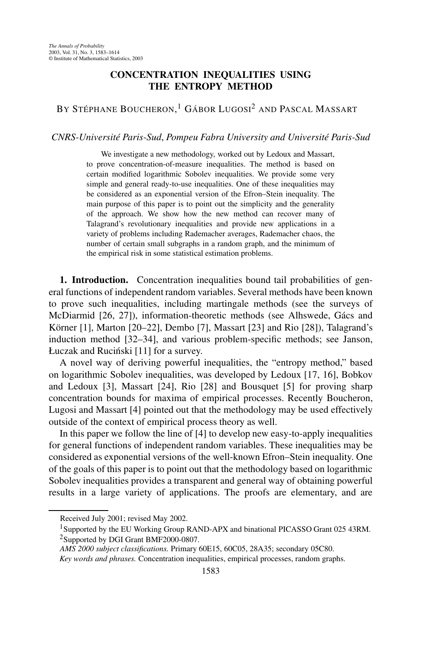## **CONCENTRATION INEQUALITIES USING THE ENTROPY METHOD**

## BY STÉPHANE BOUCHERON,<sup>1</sup> GÁBOR LUGOSI<sup>2</sup> and Pascal Massart

## *CNRS-Université Paris-Sud*, *Pompeu Fabra University and Université Paris-Sud*

We investigate a new methodology, worked out by Ledoux and Massart, to prove concentration-of-measure inequalities. The method is based on certain modified logarithmic Sobolev inequalities. We provide some very simple and general ready-to-use inequalities. One of these inequalities may be considered as an exponential version of the Efron–Stein inequality. The main purpose of this paper is to point out the simplicity and the generality of the approach. We show how the new method can recover many of Talagrand's revolutionary inequalities and provide new applications in a variety of problems including Rademacher averages, Rademacher chaos, the number of certain small subgraphs in a random graph, and the minimum of the empirical risk in some statistical estimation problems.

**1. Introduction.** Concentration inequalities bound tail probabilities of general functions of independent random variables. Several methods have been known to prove such inequalities, including martingale methods (see the surveys of McDiarmid [26, 27]), information-theoretic methods (see Alhswede, Gács and Körner [1], Marton [20–22], Dembo [7], Massart [23] and Rio [28]), Talagrand's induction method [32–34], and various problem-specific methods; see Janson, Łuczak and Ruciński [11] for a survey.

A novel way of deriving powerful inequalities, the "entropy method," based on logarithmic Sobolev inequalities, was developed by Ledoux [17, 16], Bobkov and Ledoux [3], Massart [24], Rio [28] and Bousquet [5] for proving sharp concentration bounds for maxima of empirical processes. Recently Boucheron, Lugosi and Massart [4] pointed out that the methodology may be used effectively outside of the context of empirical process theory as well.

In this paper we follow the line of [4] to develop new easy-to-apply inequalities for general functions of independent random variables. These inequalities may be considered as exponential versions of the well-known Efron–Stein inequality. One of the goals of this paper is to point out that the methodology based on logarithmic Sobolev inequalities provides a transparent and general way of obtaining powerful results in a large variety of applications. The proofs are elementary, and are

Received July 2001; revised May 2002.

<sup>&</sup>lt;sup>1</sup>Supported by the EU Working Group RAND-APX and binational PICASSO Grant 025 43RM. 2Supported by DGI Grant BMF2000-0807.

*AMS 2000 subject classifications.* Primary 60E15, 60C05, 28A35; secondary 05C80.

*Key words and phrases.* Concentration inequalities, empirical processes, random graphs.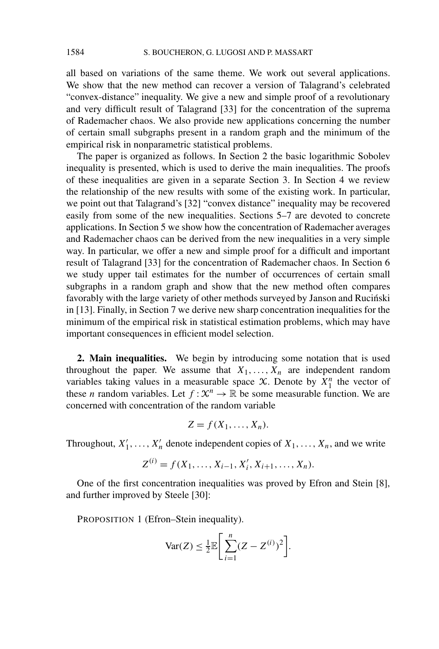all based on variations of the same theme. We work out several applications. We show that the new method can recover a version of Talagrand's celebrated "convex-distance" inequality. We give a new and simple proof of a revolutionary and very difficult result of Talagrand [33] for the concentration of the suprema of Rademacher chaos. We also provide new applications concerning the number of certain small subgraphs present in a random graph and the minimum of the empirical risk in nonparametric statistical problems.

The paper is organized as follows. In Section 2 the basic logarithmic Sobolev inequality is presented, which is used to derive the main inequalities. The proofs of these inequalities are given in a separate Section 3. In Section 4 we review the relationship of the new results with some of the existing work. In particular, we point out that Talagrand's [32] "convex distance" inequality may be recovered easily from some of the new inequalities. Sections 5–7 are devoted to concrete applications. In Section 5 we show how the concentration of Rademacher averages and Rademacher chaos can be derived from the new inequalities in a very simple way. In particular, we offer a new and simple proof for a difficult and important result of Talagrand [33] for the concentration of Rademacher chaos. In Section 6 we study upper tail estimates for the number of occurrences of certain small subgraphs in a random graph and show that the new method often compares favorably with the large variety of other methods surveyed by Janson and Ruciński in [13]. Finally, in Section 7 we derive new sharp concentration inequalities for the minimum of the empirical risk in statistical estimation problems, which may have important consequences in efficient model selection.

**2. Main inequalities.** We begin by introducing some notation that is used throughout the paper. We assume that  $X_1, \ldots, X_n$  are independent random variables taking values in a measurable space  $\mathcal{X}$ . Denote by  $\overline{X}_1^n$  the vector of these *n* random variables. Let  $f: \mathcal{X}^n \to \mathbb{R}$  be some measurable function. We are concerned with concentration of the random variable

$$
Z = f(X_1, \ldots, X_n).
$$

Throughout,  $X'_1, \ldots, X'_n$  denote independent copies of  $X_1, \ldots, X_n$ , and we write

$$
Z^{(i)} = f(X_1, \ldots, X_{i-1}, X'_i, X_{i+1}, \ldots, X_n).
$$

One of the first concentration inequalities was proved by Efron and Stein [8], and further improved by Steele [30]:

PROPOSITION 1 (Efron–Stein inequality).

$$
\text{Var}(Z) \le \frac{1}{2} \mathbb{E} \Bigg[ \sum_{i=1}^{n} (Z - Z^{(i)})^2 \Bigg].
$$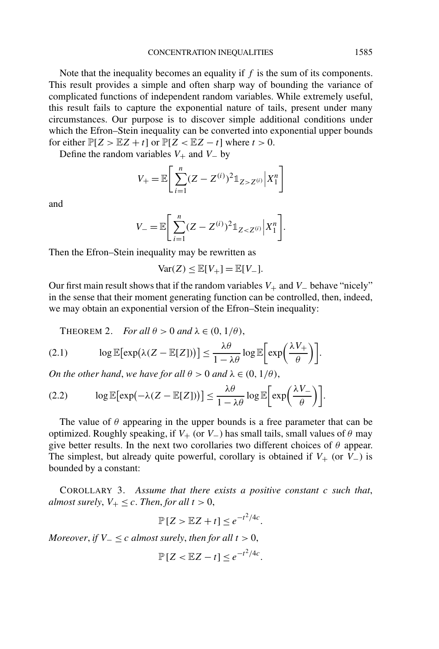Note that the inequality becomes an equality if *f* is the sum of its components. This result provides a simple and often sharp way of bounding the variance of complicated functions of independent random variables. While extremely useful, this result fails to capture the exponential nature of tails, present under many circumstances. Our purpose is to discover simple additional conditions under which the Efron–Stein inequality can be converted into exponential upper bounds for either  $\mathbb{P}[Z > \mathbb{E}Z + t]$  or  $\mathbb{P}[Z < \mathbb{E}Z - t]$  where  $t > 0$ .

Define the random variables  $V_+$  and  $V_-$  by

$$
V_{+} = \mathbb{E}\bigg[\sum_{i=1}^{n} (Z - Z^{(i)})^{2} \mathbb{1}_{Z > Z^{(i)}} |X_{1}^{n}\bigg]
$$

and

$$
V_{-} = \mathbb{E}\bigg[\sum_{i=1}^{n} (Z - Z^{(i)})^2 \mathbb{1}_{Z < Z^{(i)}} \bigg| X_1^n \bigg].
$$

Then the Efron–Stein inequality may be rewritten as

$$
\text{Var}(Z) \le \mathbb{E}[V_+] = \mathbb{E}[V_-].
$$

Our first main result shows that if the random variables *V*+ and *V*− behave "nicely" in the sense that their moment generating function can be controlled, then, indeed, we may obtain an exponential version of the Efron–Stein inequality:

THEOREM 2. *For all*  $\theta > 0$  *and*  $\lambda \in (0, 1/\theta)$ ,

$$
(2.1) \qquad \log \mathbb{E}[\exp(\lambda (Z - \mathbb{E}[Z]))] \leq \frac{\lambda \theta}{1 - \lambda \theta} \log \mathbb{E}\bigg[\exp\bigg(\frac{\lambda V_{+}}{\theta}\bigg)\bigg].
$$

*On the other hand, we have for all*  $\theta > 0$  *and*  $\lambda \in (0, 1/\theta)$ ,

(2.2) 
$$
\log \mathbb{E}[\exp(-\lambda (Z - \mathbb{E}[Z]))] \leq \frac{\lambda \theta}{1 - \lambda \theta} \log \mathbb{E}\bigg[\exp\bigg(\frac{\lambda V_{-}}{\theta}\bigg)\bigg].
$$

The value of  $\theta$  appearing in the upper bounds is a free parameter that can be optimized. Roughly speaking, if  $V_+$  (or  $V_-$ ) has small tails, small values of  $\theta$  may give better results. In the next two corollaries two different choices of *θ* appear. The simplest, but already quite powerful, corollary is obtained if  $V_{+}$  (or  $V_{-}$ ) is bounded by a constant:

COROLLARY 3. *Assume that there exists a positive constant c such that*, *almost surely,*  $V_+ \leq c$ . *Then, for all*  $t > 0$ ,

$$
\mathbb{P}[Z > \mathbb{E}Z + t] \le e^{-t^2/4c}.
$$

*Moreover, if*  $V_ \leq c$  *almost surely, then for all*  $t > 0$ ,

$$
\mathbb{P}[Z < \mathbb{E}Z - t] \leq e^{-t^2/4c}.
$$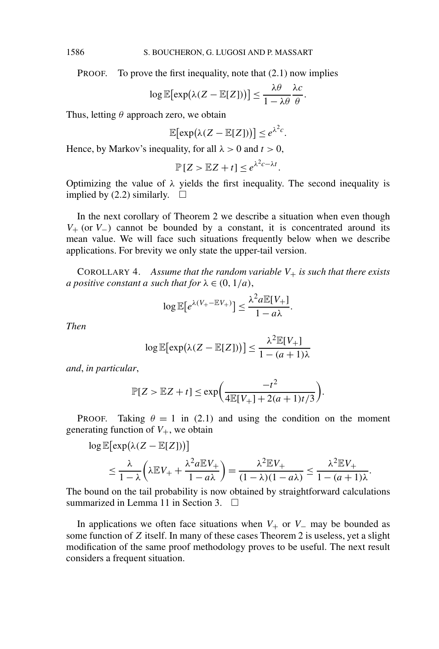PROOF. To prove the first inequality, note that (2.1) now implies

$$
\log \mathbb{E}[\exp(\lambda (Z - \mathbb{E}[Z]))] \leq \frac{\lambda \theta}{1 - \lambda \theta} \frac{\lambda c}{\theta}.
$$

Thus, letting *θ* approach zero, we obtain

$$
\mathbb{E}[\exp(\lambda(Z - \mathbb{E}[Z]))] \leq e^{\lambda^2 c}.
$$

Hence, by Markov's inequality, for all  $\lambda > 0$  and  $t > 0$ ,

$$
\mathbb{P}[Z > \mathbb{E}Z + t] \leq e^{\lambda^2 c - \lambda t}.
$$

Optimizing the value of  $\lambda$  yields the first inequality. The second inequality is implied by (2.2) similarly.  $\square$ 

In the next corollary of Theorem 2 we describe a situation when even though *V*<sup>+</sup> (or *V*<sup>−</sup>) cannot be bounded by a constant, it is concentrated around its mean value. We will face such situations frequently below when we describe applications. For brevity we only state the upper-tail version.

COROLLARY 4. Assume that the random variable  $V_+$  is such that there exists *a positive constant a such that for*  $\lambda \in (0, 1/a)$ ,

$$
\log \mathbb{E}\big[e^{\lambda(V_+ - \mathbb{E}V_+)}\big] \le \frac{\lambda^2 a \mathbb{E}[V_+]}{1 - a\lambda}.
$$

*Then*

$$
\log \mathbb{E}[\exp(\lambda (Z - \mathbb{E}[Z]))] \le \frac{\lambda^2 \mathbb{E}[V_+] }{1 - (a+1)\lambda}
$$

*and*, *in particular*,

$$
\mathbb{P}[Z > \mathbb{E}Z + t] \le \exp\bigg(\frac{-t^2}{4\mathbb{E}[V_+] + 2(a+1)t/3}\bigg).
$$

PROOF. Taking  $\theta = 1$  in (2.1) and using the condition on the moment generating function of  $V_{+}$ , we obtain

$$
\log \mathbb{E}[\exp(\lambda (Z - \mathbb{E}[Z]))]
$$
  
\n
$$
\leq \frac{\lambda}{1 - \lambda} \left( \lambda \mathbb{E} V_+ + \frac{\lambda^2 a \mathbb{E} V_+}{1 - a\lambda} \right) = \frac{\lambda^2 \mathbb{E} V_+}{(1 - \lambda)(1 - a\lambda)} \leq \frac{\lambda^2 \mathbb{E} V_+}{1 - (a + 1)\lambda}.
$$

The bound on the tail probability is now obtained by straightforward calculations summarized in Lemma 11 in Section 3.  $\Box$ 

In applications we often face situations when  $V_+$  or  $V_-$  may be bounded as some function of *Z* itself. In many of these cases Theorem 2 is useless, yet a slight modification of the same proof methodology proves to be useful. The next result considers a frequent situation.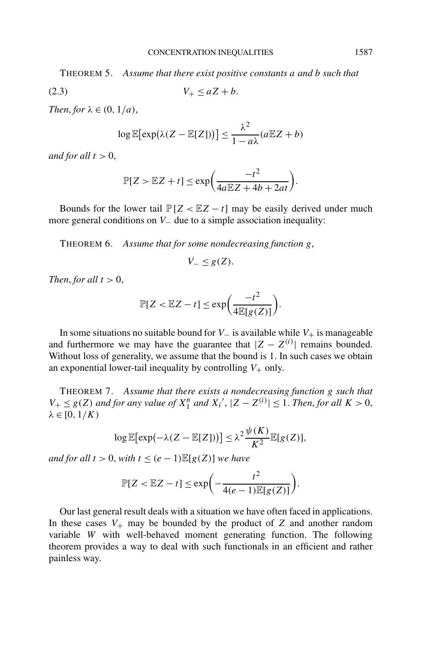THEOREM 5. *Assume that there exist positive constants a and b such that*

$$
(2.3) \t\t V_+ \le aZ + b.
$$

*Then, for*  $\lambda \in (0, 1/a)$ ,

$$
\log \mathbb{E}[\exp(\lambda (Z - \mathbb{E}[Z]))] \le \frac{\lambda^2}{1 - a\lambda} (a \mathbb{E} Z + b)
$$

*and for all*  $t > 0$ ,

$$
\mathbb{P}[Z > \mathbb{E}Z + t] \le \exp\bigg(\frac{-t^2}{4a\mathbb{E}Z + 4b + 2at}\bigg).
$$

Bounds for the lower tail  $\mathbb{P}[Z \lt \mathbb{E}Z - t]$  may be easily derived under much more general conditions on *V*<sub>−</sub> due to a simple association inequality:

THEOREM 6. *Assume that for some nondecreasing function g*,

*V*− ≤ *g*(*Z*).

*Then, for all*  $t > 0$ ,

$$
\mathbb{P}[Z < \mathbb{E}Z - t] \le \exp\bigg(\frac{-t^2}{4\mathbb{E}[g(Z)]}\bigg).
$$

In some situations no suitable bound for  $V_-\$  is available while  $V_+\$  is manageable and furthermore we may have the guarantee that  $|Z - Z^{(i)}|$  remains bounded. Without loss of generality, we assume that the bound is 1. In such cases we obtain an exponential lower-tail inequality by controlling  $V_+$  only.

THEOREM 7. *Assume that there exists a nondecreasing function g such that*  $V_+ \leq g(Z)$  *and for any value of*  $X_1^n$  *and*  $X_i'$ ,  $|Z - Z^{(i)}| \leq 1$ . *Then, for all*  $K > 0$ ,  $λ ∈ [0, 1/K)$ 

$$
\log \mathbb{E}[\exp(-\lambda(Z - \mathbb{E}[Z]))] \leq \lambda^2 \frac{\psi(K)}{K^2} \mathbb{E}[g(Z)],
$$

*and for all*  $t > 0$ , *with*  $t \leq (e-1) \mathbb{E}[g(Z)]$  *we have* 

$$
\mathbb{P}[Z < \mathbb{E}Z - t] \le \exp\biggl(-\frac{t^2}{4(e-1)\mathbb{E}[g(Z)]}\biggr).
$$

Our last general result deals with a situation we have often faced in applications. In these cases  $V_+$  may be bounded by the product of  $Z$  and another random variable *W* with well-behaved moment generating function. The following theorem provides a way to deal with such functionals in an efficient and rather painless way.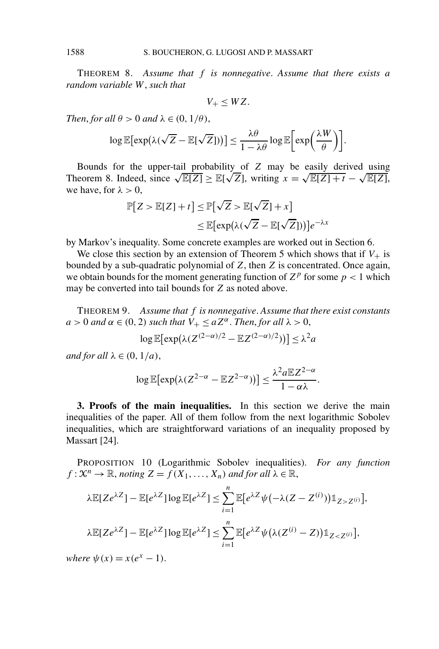THEOREM 8. *Assume that f is nonnegative*. *Assume that there exists a random variable W*, *such that*

$$
V_+\leq WZ.
$$

*Then, for all*  $\theta > 0$  *and*  $\lambda \in (0, 1/\theta)$ ,

$$
\log \mathbb{E}[\exp(\lambda(\sqrt{Z} - \mathbb{E}[\sqrt{Z}]))] \leq \frac{\lambda \theta}{1 - \lambda \theta} \log \mathbb{E}\bigg[\exp\bigg(\frac{\lambda W}{\theta}\bigg)\bigg].
$$

Bounds for the upper-tail probability of *Z* may be easily derived using Bounds for the upper-tail probability of Z may be easily derived using<br>Theorem 8. Indeed, since  $\sqrt{\mathbb{E}[Z]} \geq \mathbb{E}[\sqrt{Z}]$ , writing  $x = \sqrt{\mathbb{E}[Z] + t} - \sqrt{\mathbb{E}[Z]}$ , we have, for  $\lambda > 0$ ,

$$
\mathbb{P}[Z > \mathbb{E}[Z] + t] \le \mathbb{P}[\sqrt{Z} > \mathbb{E}[\sqrt{Z}] + x]
$$
  

$$
\le \mathbb{E}[\exp(\lambda(\sqrt{Z} - \mathbb{E}[\sqrt{Z}]))]e^{-\lambda x}
$$

by Markov's inequality. Some concrete examples are worked out in Section 6.

We close this section by an extension of Theorem 5 which shows that if  $V_+$  is bounded by a sub-quadratic polynomial of *Z*, then *Z* is concentrated. Once again, we obtain bounds for the moment generating function of  $Z^p$  for some  $p < 1$  which may be converted into tail bounds for *Z* as noted above.

THEOREM 9. *Assume that f is nonnegative*. *Assume that there exist constants*  $a > 0$  *and*  $\alpha \in (0, 2)$  *such that*  $V_+ \le aZ^{\alpha}$ . *Then, for all*  $\lambda > 0$ ,

$$
\log \mathbb{E}[\exp(\lambda (Z^{(2-\alpha)/2} - \mathbb{E}Z^{(2-\alpha)/2}))] \leq \lambda^2 a
$$

*and for all*  $\lambda \in (0, 1/a)$ ,

$$
\log \mathbb{E}[\exp(\lambda (Z^{2-\alpha} - \mathbb{E}Z^{2-\alpha}))] \leq \frac{\lambda^2 a \mathbb{E}Z^{2-\alpha}}{1-\alpha\lambda}.
$$

**3. Proofs of the main inequalities.** In this section we derive the main inequalities of the paper. All of them follow from the next logarithmic Sobolev inequalities, which are straightforward variations of an inequality proposed by Massart [24].

PROPOSITION 10 (Logarithmic Sobolev inequalities). *For any function*  $f: \mathcal{X}^n \to \mathbb{R}$ , *noting*  $Z = f(X_1, \ldots, X_n)$  *and for all*  $\lambda \in \mathbb{R}$ ,

$$
\lambda \mathbb{E}[Ze^{\lambda Z}] - \mathbb{E}[e^{\lambda Z}] \log \mathbb{E}[e^{\lambda Z}] \le \sum_{i=1}^{n} \mathbb{E}[e^{\lambda Z} \psi(-\lambda (Z - Z^{(i)})) \mathbb{1}_{Z > Z^{(i)}}],
$$
  

$$
\lambda \mathbb{E}[Ze^{\lambda Z}] - \mathbb{E}[e^{\lambda Z}] \log \mathbb{E}[e^{\lambda Z}] \le \sum_{i=1}^{n} \mathbb{E}[e^{\lambda Z} \psi(\lambda (Z^{(i)} - Z)) \mathbb{1}_{Z < Z^{(i)}}],
$$

*where*  $\psi(x) = x(e^x - 1)$ .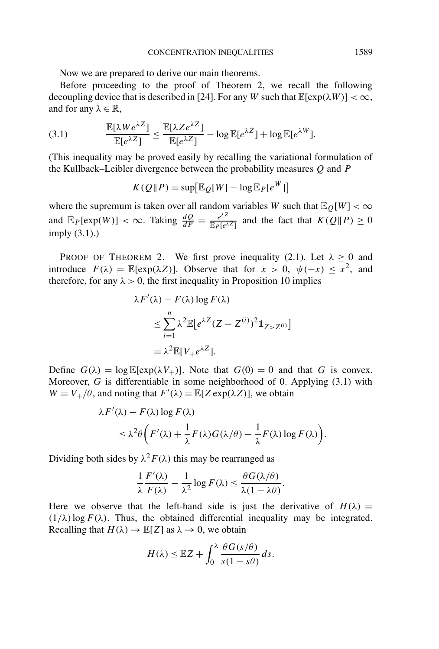Now we are prepared to derive our main theorems.

Before proceeding to the proof of Theorem 2, we recall the following decoupling device that is described in [24]. For any *W* such that  $\mathbb{E}[\exp(\lambda W)] < \infty$ , and for any  $\lambda \in \mathbb{R}$ ,

(3.1) 
$$
\frac{\mathbb{E}[\lambda We^{\lambda Z}]}{\mathbb{E}[e^{\lambda Z}]} \leq \frac{\mathbb{E}[\lambda Ze^{\lambda Z}]}{\mathbb{E}[e^{\lambda Z}]} - \log \mathbb{E}[e^{\lambda Z}] + \log \mathbb{E}[e^{\lambda W}].
$$

(This inequality may be proved easily by recalling the variational formulation of the Kullback–Leibler divergence between the probability measures *Q* and *P*

$$
K(Q||P) = \sup[\mathbb{E}_{Q}[W] - \log \mathbb{E}_{P}[e^{W}]]
$$

where the supremum is taken over all random variables *W* such that  $\mathbb{E}_0[W] < \infty$ and  $\mathbb{E}_P[\exp(W)] < \infty$ . Taking  $\frac{dQ}{dP} = \frac{e^{\lambda Z}}{\mathbb{E}_P[e^{\lambda Z}]}$  and the fact that  $K(Q||P) \ge 0$ imply (3.1).)

PROOF OF THEOREM 2. We first prove inequality (2.1). Let  $\lambda \ge 0$  and introduce  $F(\lambda) = \mathbb{E}[\exp(\lambda Z)]$ . Observe that for  $x > 0$ ,  $\psi(-x) \leq x^2$ , and therefore, for any  $\lambda > 0$ , the first inequality in Proposition 10 implies

$$
\lambda F'(\lambda) - F(\lambda) \log F(\lambda)
$$
  
\n
$$
\leq \sum_{i=1}^{n} \lambda^2 \mathbb{E}[e^{\lambda Z} (Z - Z^{(i)})^2 \mathbb{1}_{Z > Z^{(i)}}]
$$
  
\n
$$
= \lambda^2 \mathbb{E}[V_+ e^{\lambda Z}].
$$

Define  $G(\lambda) = \log \mathbb{E}[\exp(\lambda V_+)]$ . Note that  $G(0) = 0$  and that *G* is convex. Moreover, *G* is differentiable in some neighborhood of 0. Applying (3.1) with  $W = V_+/\theta$ , and noting that  $F'(\lambda) = \mathbb{E}[Z \exp(\lambda Z)]$ , we obtain

$$
\lambda F'(\lambda) - F(\lambda) \log F(\lambda)
$$
  
\$\leq \lambda^2 \theta \bigg( F'(\lambda) + \frac{1}{\lambda} F(\lambda) G(\lambda/\theta) - \frac{1}{\lambda} F(\lambda) \log F(\lambda) \bigg).

Dividing both sides by  $\lambda^2 F(\lambda)$  this may be rearranged as

$$
\frac{1}{\lambda}\frac{F'(\lambda)}{F(\lambda)} - \frac{1}{\lambda^2}\log F(\lambda) \le \frac{\theta G(\lambda/\theta)}{\lambda(1-\lambda\theta)}.
$$

Here we observe that the left-hand side is just the derivative of  $H(\lambda)$  =  $(1/\lambda)$ log  $F(\lambda)$ . Thus, the obtained differential inequality may be integrated. Recalling that  $H(\lambda) \to \mathbb{E}[Z]$  as  $\lambda \to 0$ , we obtain

$$
H(\lambda) \leq \mathbb{E}Z + \int_0^{\lambda} \frac{\theta G(s/\theta)}{s(1-s\theta)} ds.
$$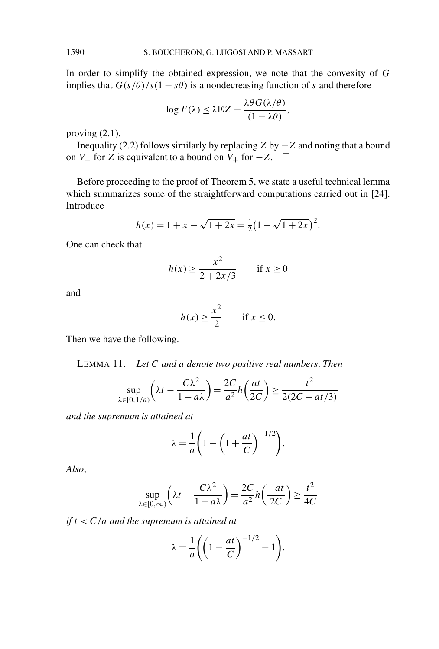In order to simplify the obtained expression, we note that the convexity of *G* implies that  $G(s/\theta)/s(1-s\theta)$  is a nondecreasing function of *s* and therefore

$$
\log F(\lambda) \leq \lambda \mathbb{E} Z + \frac{\lambda \theta G(\lambda/\theta)}{(1 - \lambda \theta)},
$$

proving  $(2.1)$ .

Inequality (2.2) follows similarly by replacing *Z* by −*Z* and noting that a bound on *V*<sub>−</sub> for *Z* is equivalent to a bound on *V*<sub>+</sub> for  $-Z$ .  $\Box$ 

Before proceeding to the proof of Theorem 5, we state a useful technical lemma which summarizes some of the straightforward computations carried out in [24]. Introduce

$$
h(x) = 1 + x - \sqrt{1 + 2x} = \frac{1}{2}(1 - \sqrt{1 + 2x})^2.
$$

One can check that

$$
h(x) \ge \frac{x^2}{2 + 2x/3} \quad \text{if } x \ge 0
$$

and

$$
h(x) \ge \frac{x^2}{2} \quad \text{if } x \le 0.
$$

Then we have the following.

LEMMA 11. *Let C and a denote two positive real numbers*. *Then*

$$
\sup_{\lambda \in [0,1/a)} \left( \lambda t - \frac{C\lambda^2}{1 - a\lambda} \right) = \frac{2C}{a^2} h \left( \frac{at}{2C} \right) \ge \frac{t^2}{2(2C + at/3)}
$$

*and the supremum is attained at*

$$
\lambda = \frac{1}{a} \left( 1 - \left( 1 + \frac{at}{C} \right)^{-1/2} \right).
$$

*Also*,

$$
\sup_{\lambda \in [0,\infty)} \left( \lambda t - \frac{C\lambda^2}{1 + a\lambda} \right) = \frac{2C}{a^2} h \left( \frac{-at}{2C} \right) \ge \frac{t^2}{4C}
$$

*if t < C/a and the supremum is attained at*

$$
\lambda = \frac{1}{a} \left( \left( 1 - \frac{at}{C} \right)^{-1/2} - 1 \right).
$$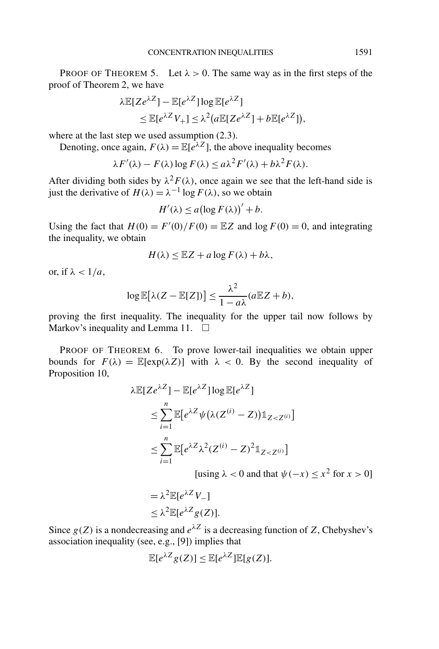PROOF OF THEOREM 5. Let  $\lambda > 0$ . The same way as in the first steps of the proof of Theorem 2, we have

$$
\lambda \mathbb{E}[Ze^{\lambda Z}] - \mathbb{E}[e^{\lambda Z}] \log \mathbb{E}[e^{\lambda Z}]
$$
  
\n
$$
\leq \mathbb{E}[e^{\lambda Z}V_+] \leq \lambda^2 (a \mathbb{E}[Ze^{\lambda Z}] + b \mathbb{E}[e^{\lambda Z}])
$$

where at the last step we used assumption  $(2.3)$ .

Denoting, once again,  $F(\lambda) = \mathbb{E}[e^{\lambda Z}]$ , the above inequality becomes

$$
\lambda F'(\lambda) - F(\lambda) \log F(\lambda) \le a \lambda^2 F'(\lambda) + b \lambda^2 F(\lambda).
$$

After dividing both sides by  $\lambda^2 F(\lambda)$ , once again we see that the left-hand side is iust the derivative of  $H(\lambda) = \lambda^{-1} \log F(\lambda)$ , so we obtain

 $H'(\lambda) \leq a(\log F(\lambda))' + b.$ 

Using the fact that  $H(0) = F'(0)/F(0) = \mathbb{E}Z$  and  $\log F(0) = 0$ , and integrating the inequality, we obtain

$$
H(\lambda) \leq \mathbb{E}Z + a\log F(\lambda) + b\lambda,
$$

or, if  $\lambda < 1/a$ ,

$$
\log \mathbb{E}[\lambda (Z - \mathbb{E}[Z])] \le \frac{\lambda^2}{1 - a\lambda} (a \mathbb{E} Z + b),
$$

proving the first inequality. The inequality for the upper tail now follows by Markov's inequality and Lemma 11.  $\square$ 

PROOF OF THEOREM 6. To prove lower-tail inequalities we obtain upper bounds for  $F(\lambda) = \mathbb{E}[\exp(\lambda Z)]$  with  $\lambda < 0$ . By the second inequality of Proposition 10,

$$
\lambda \mathbb{E}[Z e^{\lambda Z}] - \mathbb{E}[e^{\lambda Z}] \log \mathbb{E}[e^{\lambda Z}]
$$
  
\n
$$
\leq \sum_{i=1}^{n} \mathbb{E}[e^{\lambda Z} \psi(\lambda (Z^{(i)} - Z)) \mathbb{1}_{Z < Z^{(i)}}]
$$
  
\n
$$
\leq \sum_{i=1}^{n} \mathbb{E}[e^{\lambda Z} \lambda^{2} (Z^{(i)} - Z)^{2} \mathbb{1}_{Z < Z^{(i)}}]
$$
  
\n[using  $\lambda < 0$  and that  $\psi(-x) \leq x^{2}$  for  $x > 0$ ]

$$
= \lambda^2 \mathbb{E}[e^{\lambda Z} V_-\]
$$
  

$$
\leq \lambda^2 \mathbb{E}[e^{\lambda Z} g(Z)].
$$

Since  $g(Z)$  is a nondecreasing and  $e^{\lambda Z}$  is a decreasing function of *Z*, Chebyshev's association inequality (see, e.g., [9]) implies that

$$
\mathbb{E}[e^{\lambda Z}g(Z)] \leq \mathbb{E}[e^{\lambda Z}]\mathbb{E}[g(Z)].
$$

*,*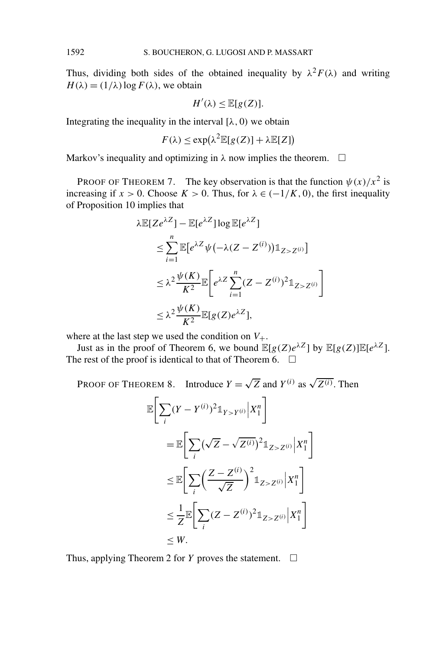Thus, dividing both sides of the obtained inequality by  $\lambda^2 F(\lambda)$  and writing  $H(\lambda) = (1/\lambda) \log F(\lambda)$ , we obtain

$$
H'(\lambda) \leq \mathbb{E}[g(Z)].
$$

Integrating the inequality in the interval  $[\lambda, 0)$  we obtain

$$
F(\lambda) \le \exp(\lambda^2 \mathbb{E}[g(Z)] + \lambda \mathbb{E}[Z])
$$

Markov's inequality and optimizing in  $\lambda$  now implies the theorem.  $\Box$ 

PROOF OF THEOREM 7. The key observation is that the function  $\psi(x)/x^2$  is increasing if  $x > 0$ . Choose  $K > 0$ . Thus, for  $\lambda \in (-1/K, 0)$ , the first inequality of Proposition 10 implies that

$$
\lambda \mathbb{E}[Z e^{\lambda Z}] - \mathbb{E}[e^{\lambda Z}] \log \mathbb{E}[e^{\lambda Z}]
$$
  
\n
$$
\leq \sum_{i=1}^{n} \mathbb{E}[e^{\lambda Z} \psi(-\lambda (Z - Z^{(i)})) \mathbb{1}_{Z > Z^{(i)}}]
$$
  
\n
$$
\leq \lambda^2 \frac{\psi(K)}{K^2} \mathbb{E}\bigg[e^{\lambda Z} \sum_{i=1}^{n} (Z - Z^{(i)})^2 \mathbb{1}_{Z > Z^{(i)}}\bigg]
$$
  
\n
$$
\leq \lambda^2 \frac{\psi(K)}{K^2} \mathbb{E}[g(Z) e^{\lambda Z}],
$$

where at the last step we used the condition on  $V_{+}$ .

Just as in the proof of Theorem 6, we bound  $\mathbb{E}[g(Z)e^{\lambda Z}]$  by  $\mathbb{E}[g(Z)]\mathbb{E}[e^{\lambda Z}]$ . The rest of the proof is identical to that of Theorem 6.  $\Box$ 

PROOF OF THEOREM 8. Introduce  $Y = \sqrt{Z}$  and  $Y^{(i)}$  as  $\sqrt{Z^{(i)}}$ . Then

$$
\mathbb{E}\Bigg[\sum_{i}(Y-Y^{(i)})^2\mathbb{1}_{Y>Y^{(i)}}\Big|X_1^n\Bigg]
$$
  
\n
$$
=\mathbb{E}\Bigg[\sum_{i}(\sqrt{Z}-\sqrt{Z^{(i)}})^2\mathbb{1}_{Z>Z^{(i)}}\Big|X_1^n\Bigg]
$$
  
\n
$$
\leq \mathbb{E}\Bigg[\sum_{i}\Big(\frac{Z-Z^{(i)}}{\sqrt{Z}}\Big)^2\mathbb{1}_{Z>Z^{(i)}}\Big|X_1^n\Bigg]
$$
  
\n
$$
\leq \frac{1}{Z}\mathbb{E}\Bigg[\sum_{i}(Z-Z^{(i)})^2\mathbb{1}_{Z>Z^{(i)}}\Big|X_1^n\Bigg]
$$
  
\n
$$
\leq W.
$$

Thus, applying Theorem 2 for *Y* proves the statement.  $\Box$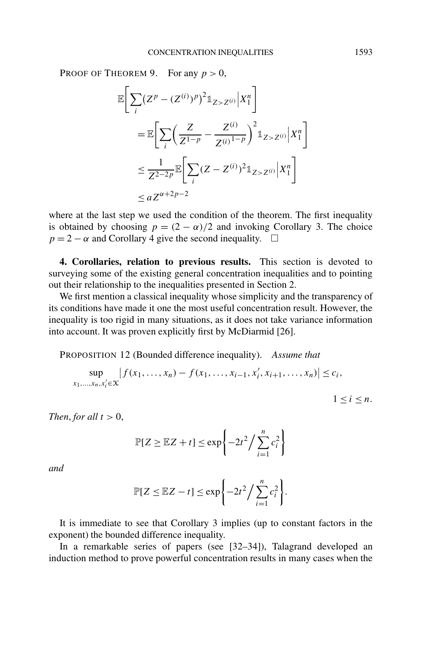PROOF OF THEOREM 9. For any  $p > 0$ ,

$$
\mathbb{E}\Bigg[\sum_{i} (Z^{p} - (Z^{(i)})^{p})^{2} \mathbb{1}_{Z > Z^{(i)}} |X_{1}^{n}\Bigg]
$$
\n
$$
= \mathbb{E}\Bigg[\sum_{i} \Big(\frac{Z}{Z^{1-p}} - \frac{Z^{(i)}}{Z^{(i)}}\Big)^{2} \mathbb{1}_{Z > Z^{(i)}} |X_{1}^{n}\Bigg]
$$
\n
$$
\leq \frac{1}{Z^{2-2p}} \mathbb{E}\Bigg[\sum_{i} (Z - Z^{(i)})^{2} \mathbb{1}_{Z > Z^{(i)}} |X_{1}^{n}\Bigg]
$$
\n
$$
\leq a Z^{\alpha+2p-2}
$$

where at the last step we used the condition of the theorem. The first inequality is obtained by choosing  $p = (2 - \alpha)/2$  and invoking Corollary 3. The choice  $p = 2 - \alpha$  and Corollary 4 give the second inequality.  $\square$ 

**4. Corollaries, relation to previous results.** This section is devoted to surveying some of the existing general concentration inequalities and to pointing out their relationship to the inequalities presented in Section 2.

We first mention a classical inequality whose simplicity and the transparency of its conditions have made it one the most useful concentration result. However, the inequality is too rigid in many situations, as it does not take variance information into account. It was proven explicitly first by McDiarmid [26].

PROPOSITION 12 (Bounded difference inequality). *Assume that*

$$
\sup_{x_1,\ldots,x_n,x'_i\in\mathcal{X}}\left|f(x_1,\ldots,x_n)-f(x_1,\ldots,x_{i-1},x'_i,x_{i+1},\ldots,x_n)\right|\leq c_i,
$$

 $1 \leq i \leq n$ .

*Then, for all*  $t > 0$ ,

$$
\mathbb{P}[Z \ge \mathbb{E}Z + t] \le \exp\left\{-2t^2 / \sum_{i=1}^n c_i^2\right\}
$$

*and*

$$
\mathbb{P}[Z \leq \mathbb{E}Z - t] \leq \exp\left\{-2t^2/\sum_{i=1}^n c_i^2\right\}.
$$

It is immediate to see that Corollary 3 implies (up to constant factors in the exponent) the bounded difference inequality.

In a remarkable series of papers (see [32–34]), Talagrand developed an induction method to prove powerful concentration results in many cases when the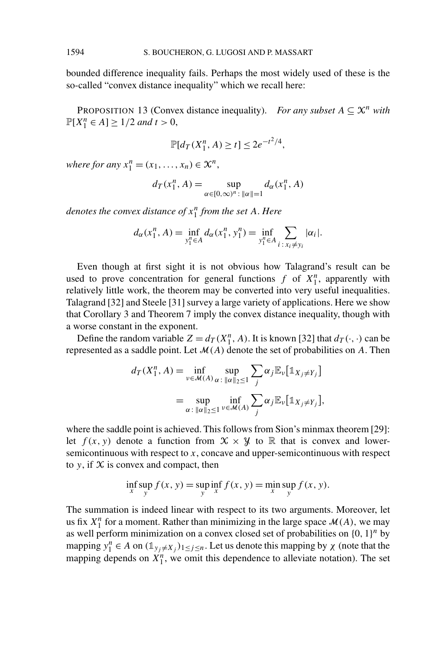bounded difference inequality fails. Perhaps the most widely used of these is the so-called "convex distance inequality" which we recall here:

PROPOSITION 13 (Convex distance inequality). *For any subset*  $A \subseteq \mathcal{X}^n$  *with*  $\mathbb{P}[X_1^n \in A] \ge 1/2$  *and*  $t > 0$ ,

$$
\mathbb{P}[d_T(X_1^n, A) \ge t] \le 2e^{-t^2/4},
$$

*where for any*  $x_1^n = (x_1, \ldots, x_n) \in \mathcal{X}^n$ ,

$$
d_T(x_1^n, A) = \sup_{\alpha \in [0, \infty)^n : ||\alpha|| = 1} d_{\alpha}(x_1^n, A)
$$

*denotes the convex distance of x<sup>n</sup>* <sup>1</sup> *from the set A*. *Here*

$$
d_{\alpha}(x_1^n, A) = \inf_{y_1^n \in A} d_{\alpha}(x_1^n, y_1^n) = \inf_{y_1^n \in A} \sum_{i \,:\, x_i \neq y_i} |\alpha_i|.
$$

Even though at first sight it is not obvious how Talagrand's result can be used to prove concentration for general functions  $f$  of  $X_1^n$ , apparently with relatively little work, the theorem may be converted into very useful inequalities. Talagrand [32] and Steele [31] survey a large variety of applications. Here we show that Corollary 3 and Theorem 7 imply the convex distance inequality, though with a worse constant in the exponent.

Define the random variable  $Z = d_T(X_1^n, A)$ . It is known [32] that  $d_T(\cdot, \cdot)$  can be represented as a saddle point. Let  $\mathcal{M}(A)$  denote the set of probabilities on A. Then

$$
d_T(X_1^n, A) = \inf_{\nu \in \mathcal{M}(A)} \sup_{\alpha : \|\alpha\|_2 \le 1} \sum_j \alpha_j \mathbb{E}_{\nu} [\mathbb{1}_{X_j \ne Y_j}]
$$
  
= 
$$
\sup_{\alpha : \|\alpha\|_2 \le 1} \inf_{\nu \in \mathcal{M}(A)} \sum_j \alpha_j \mathbb{E}_{\nu} [\mathbb{1}_{X_j \ne Y_j}],
$$

where the saddle point is achieved. This follows from Sion's minmax theorem [29]: let  $f(x, y)$  denote a function from  $\mathcal{X} \times \mathcal{Y}$  to  $\mathbb R$  that is convex and lowersemicontinuous with respect to *x*, concave and upper-semicontinuous with respect to  $y$ , if  $X$  is convex and compact, then

$$
\inf_{x} \sup_{y} f(x, y) = \sup_{y} \inf_{x} f(x, y) = \min_{x} \sup_{y} f(x, y).
$$

The summation is indeed linear with respect to its two arguments. Moreover, let us fix  $X_1^n$  for a moment. Rather than minimizing in the large space  $\mathcal{M}(A)$ , we may as well perform minimization on a convex closed set of probabilities on {0*,* 1}*<sup>n</sup>* by mapping  $y_1^n \in A$  on  $(\mathbb{1}_{y_j \neq X_j})_{1 \leq j \leq n}$ . Let us denote this mapping by  $\chi$  (note that the mapping depends on  $X_1^n$ , we omit this dependence to alleviate notation). The set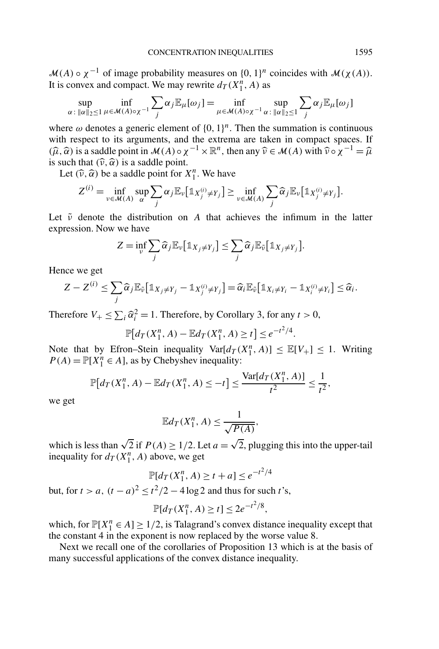$\mathcal{M}(A) \circ \chi^{-1}$  of image probability measures on  $\{0, 1\}^n$  coincides with  $\mathcal{M}(\chi(A))$ . It is convex and compact. We may rewrite  $d_T(X_1^n, A)$  as

$$
\sup_{\alpha \,:\, \|\alpha\|_2 \le 1} \inf_{\mu \in \mathcal{M}(A)\circ \chi^{-1}} \sum_j \alpha_j \mathbb{E}_{\mu}[\omega_j] = \inf_{\mu \in \mathcal{M}(A)\circ \chi^{-1}} \sup_{\alpha \,:\, \|\alpha\|_2 \le 1} \sum_j \alpha_j \mathbb{E}_{\mu}[\omega_j]
$$

where  $\omega$  denotes a generic element of  $\{0, 1\}^n$ . Then the summation is continuous with respect to its arguments, and the extrema are taken in compact spaces. If  $(\widehat{\mu}, \widehat{\alpha})$  is a saddle point in  $\mathcal{M}(A) \circ \chi^{-1} \times \mathbb{R}^n$ , then any  $\widehat{\nu} \in \mathcal{M}(A)$  with  $\widehat{\nu} \circ \chi^{-1} = \widehat{\mu}$ is such that  $(\hat{\nu}, \hat{\alpha})$  is a saddle point.

Let  $(\widehat{\nu}, \widehat{\alpha})$  be a saddle point for  $X_1^n$ . We have

$$
Z^{(i)} = \inf_{\nu \in \mathcal{M}(A)} \sup_{\alpha} \sum_{j} \alpha_{j} \mathbb{E}_{\nu} [\mathbb{1}_{X_{j}^{(i)} \neq Y_{j}}] \geq \inf_{\nu \in \mathcal{M}(A)} \sum_{j} \widehat{\alpha}_{j} \mathbb{E}_{\nu} [\mathbb{1}_{X_{j}^{(i)} \neq Y_{j}}].
$$

Let  $\tilde{\nu}$  denote the distribution on *A* that achieves the infimum in the latter expression. Now we have

$$
Z = \inf_{\nu} \sum_{j} \widehat{\alpha}_{j} \mathbb{E}_{\nu} [\mathbb{1}_{X_{j} \neq Y_{j}}] \leq \sum_{j} \widehat{\alpha}_{j} \mathbb{E}_{\tilde{\nu}} [\mathbb{1}_{X_{j} \neq Y_{j}}].
$$

Hence we get

$$
Z - Z^{(i)} \leq \sum_j \widehat{\alpha}_j \mathbb{E}_{\tilde{\nu}} \big[ \mathbb{1}_{X_j \neq Y_j} - \mathbb{1}_{X_j^{(i)} \neq Y_j} \big] = \widehat{\alpha}_i \mathbb{E}_{\tilde{\nu}} \big[ \mathbb{1}_{X_i \neq Y_i} - \mathbb{1}_{X_i^{(i)} \neq Y_i} \big] \leq \widehat{\alpha}_i.
$$

Therefore  $V_+ \le \sum_i \widehat{\alpha}_i^2 = 1$ . Therefore, by Corollary 3, for any  $t > 0$ ,

$$
\mathbb{P}[d_T(X_1^n, A) - \mathbb{E}d_T(X_1^n, A) \ge t] \le e^{-t^2/4}.
$$

Note that by Efron–Stein inequality  $Var[d_T(X_1^n, A)] \leq \mathbb{E}[V_+] \leq 1$ . Writing  $P(A) = \mathbb{P}[X_1^n \in A]$ , as by Chebyshev inequality:

$$
\mathbb{P}[d_T(X_1^n, A) - \mathbb{E}d_T(X_1^n, A) \le -t] \le \frac{\text{Var}[d_T(X_1^n, A)]}{t^2} \le \frac{1}{t^2},
$$

we get

$$
\mathbb{E}d_T(X_1^n, A) \le \frac{1}{\sqrt{P(A)}},
$$

which is less than  $\sqrt{2}$  if  $P(A) \ge 1/2$ . Let  $a = \sqrt{2}$ , plugging this into the upper-tail inequality for  $d_T(X_1^n, A)$  above, we get

$$
\mathbb{P}[d_T(X_1^n, A) \ge t + a] \le e^{-t^2/4}
$$

but, for  $t > a$ ,  $(t - a)^2 \le t^2/2 - 4 \log 2$  and thus for such *t*'s,

$$
\mathbb{P}[d_T(X_1^n, A) \ge t] \le 2e^{-t^2/8},
$$

which, for  $\mathbb{P}[X_1^n \in A] \ge 1/2$ , is Talagrand's convex distance inequality except that the constant 4 in the exponent is now replaced by the worse value 8.

Next we recall one of the corollaries of Proposition 13 which is at the basis of many successful applications of the convex distance inequality.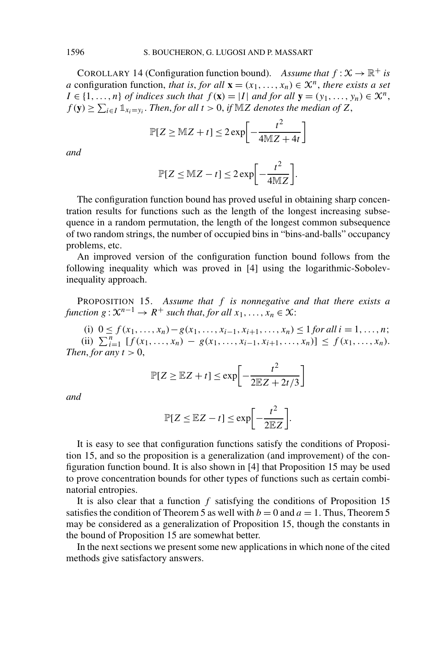COROLLARY 14 (Configuration function bound). *Assume that*  $f : X \to \mathbb{R}^+$  *is a* configuration function, *that is, for all*  $\mathbf{x} = (x_1, \ldots, x_n) \in \mathcal{X}^n$ *, there exists a set*  $I \in \{1, \ldots, n\}$  *of indices such that*  $f(\mathbf{x}) = |I|$  *and for all*  $\mathbf{y} = (y_1, \ldots, y_n) \in \mathcal{X}^n$ ,  $f(\mathbf{y}) \ge \sum_{i \in I} \mathbb{1}_{x_i = y_i}$ . *Then, for all*  $t > 0$ , *if*  $\mathbb{M}Z$  *denotes the median of*  $Z$ ,

$$
\mathbb{P}[Z \geq \mathbb{M}Z + t] \leq 2 \exp\left[-\frac{t^2}{4\mathbb{M}Z + 4t}\right]
$$

*and*

$$
\mathbb{P}[Z \leq \mathbb{M}Z - t] \leq 2 \exp\bigg[-\frac{t^2}{4\mathbb{M}Z}\bigg].
$$

The configuration function bound has proved useful in obtaining sharp concentration results for functions such as the length of the longest increasing subsequence in a random permutation, the length of the longest common subsequence of two random strings, the number of occupied bins in "bins-and-balls" occupancy problems, etc.

An improved version of the configuration function bound follows from the following inequality which was proved in [4] using the logarithmic-Sobolevinequality approach.

PROPOSITION 15. *Assume that f is nonnegative and that there exists a function*  $g: \mathcal{X}^{n-1} \to R^+$  *such that, for all*  $x_1, \ldots, x_n \in \mathcal{X}$ :

(i) 0 ≤ *f*(*x*<sub>1</sub>*,...,x<sub>n</sub></sub>) − <i>g*(*x*<sub>1</sub>*,...,x<sub>i</sub>*−1*,x<sub>i+1</sub>,...,x<sub>n</sub>*) ≤ 1 *for all i* = 1*,...,n*; (ii)  $\sum_{i=1}^{n} [f(x_1, \ldots, x_n) - g(x_1, \ldots, x_{i-1}, x_{i+1}, \ldots, x_n)] \le f(x_1, \ldots, x_n).$ *Then, for any*  $t > 0$ ,

$$
\mathbb{P}[Z \ge \mathbb{E}Z + t] \le \exp\left[-\frac{t^2}{2\mathbb{E}Z + 2t/3}\right]
$$

*and*

$$
\mathbb{P}[Z \leq \mathbb{E}Z - t] \leq \exp\biggl[-\frac{t^2}{2\mathbb{E}Z}\biggr].
$$

It is easy to see that configuration functions satisfy the conditions of Proposition 15, and so the proposition is a generalization (and improvement) of the configuration function bound. It is also shown in [4] that Proposition 15 may be used to prove concentration bounds for other types of functions such as certain combinatorial entropies.

It is also clear that a function *f* satisfying the conditions of Proposition 15 satisfies the condition of Theorem 5 as well with  $b = 0$  and  $a = 1$ . Thus, Theorem 5 may be considered as a generalization of Proposition 15, though the constants in the bound of Proposition 15 are somewhat better.

In the next sections we present some new applications in which none of the cited methods give satisfactory answers.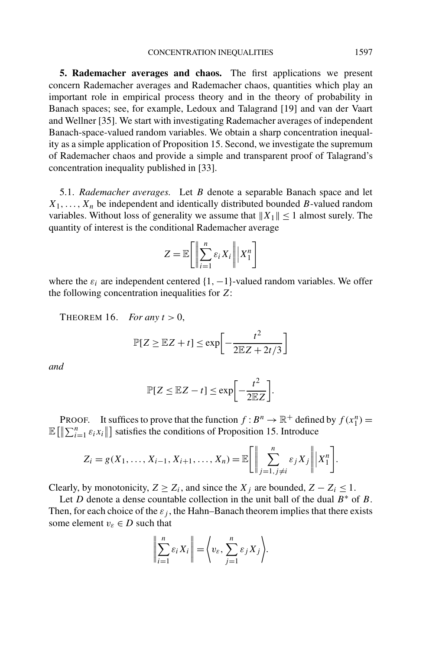**5. Rademacher averages and chaos.** The first applications we present concern Rademacher averages and Rademacher chaos, quantities which play an important role in empirical process theory and in the theory of probability in Banach spaces; see, for example, Ledoux and Talagrand [19] and van der Vaart and Wellner [35]. We start with investigating Rademacher averages of independent Banach-space-valued random variables. We obtain a sharp concentration inequality as a simple application of Proposition 15. Second, we investigate the supremum of Rademacher chaos and provide a simple and transparent proof of Talagrand's concentration inequality published in [33].

5.1. *Rademacher averages.* Let *B* denote a separable Banach space and let  $X_1, \ldots, X_n$  be independent and identically distributed bounded *B*-valued random variables. Without loss of generality we assume that  $||X_1|| \le 1$  almost surely. The quantity of interest is the conditional Rademacher average

$$
Z = \mathbb{E}\bigg[\bigg\|\sum_{i=1}^n \varepsilon_i X_i\bigg\| \bigg| X_1^n\bigg]
$$

where the  $\varepsilon_i$  are independent centered  $\{1, -1\}$ -valued random variables. We offer the following concentration inequalities for *Z*:

THEOREM 16. *For any*  $t > 0$ ,

$$
\mathbb{P}[Z \ge \mathbb{E}Z + t] \le \exp\left[-\frac{t^2}{2\mathbb{E}Z + 2t/3}\right]
$$

*and*

$$
\mathbb{P}[Z \leq \mathbb{E}Z - t] \leq \exp\biggl[-\frac{t^2}{2\mathbb{E}Z}\biggr].
$$

PROOF. It suffices to prove that the function  $f : B^n \to \mathbb{R}^+$  defined by  $f(x_1^n) =$  $\mathbb{E}\left[\left\|\sum_{i=1}^{n} \varepsilon_i x_i\right\|\right]$  satisfies the conditions of Proposition 15. Introduce

$$
Z_i = g(X_1, \ldots, X_{i-1}, X_{i+1}, \ldots, X_n) = \mathbb{E}\bigg[\bigg\|\sum_{j=1, j\neq i}^n \varepsilon_j X_j\bigg\| \bigg| X_1^n\bigg].
$$

Clearly, by monotonicity,  $Z \geq Z_i$ , and since the  $X_i$  are bounded,  $Z - Z_i \leq 1$ .

Let *D* denote a dense countable collection in the unit ball of the dual  $B^*$  of *B*. Then, for each choice of the  $\varepsilon_j$ , the Hahn–Banach theorem implies that there exists some element  $v_{\varepsilon} \in D$  such that

$$
\left\| \sum_{i=1}^n \varepsilon_i X_i \right\| = \left\langle v_{\varepsilon}, \sum_{j=1}^n \varepsilon_j X_j \right\rangle.
$$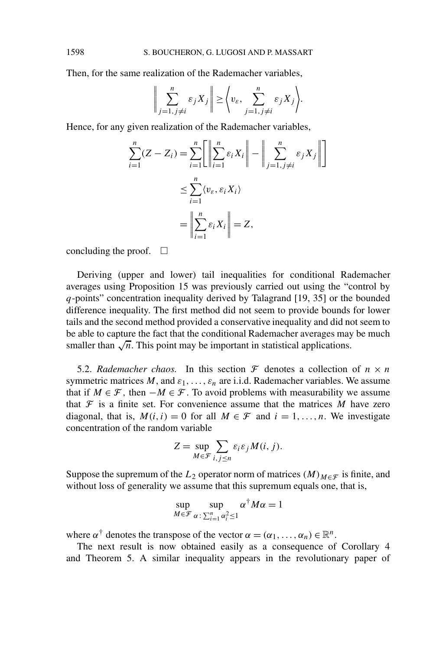Then, for the same realization of the Rademacher variables,

$$
\left\| \sum_{j=1, j \neq i}^{n} \varepsilon_j X_j \right\| \geq \left\langle v_{\varepsilon}, \sum_{j=1, j \neq i}^{n} \varepsilon_j X_j \right\rangle.
$$

Hence, for any given realization of the Rademacher variables,

$$
\sum_{i=1}^{n} (Z - Z_i) = \sum_{i=1}^{n} \left[ \left\| \sum_{i=1}^{n} \varepsilon_i X_i \right\| - \left\| \sum_{j=1, j \neq i}^{n} \varepsilon_j X_j \right\| \right]
$$
  

$$
\leq \sum_{i=1}^{n} \langle v_{\varepsilon}, \varepsilon_i X_i \rangle
$$
  

$$
= \left\| \sum_{i=1}^{n} \varepsilon_i X_i \right\| = Z,
$$

concluding the proof.  $\square$ 

Deriving (upper and lower) tail inequalities for conditional Rademacher averages using Proposition 15 was previously carried out using the "control by *q*-points" concentration inequality derived by Talagrand [19, 35] or the bounded difference inequality. The first method did not seem to provide bounds for lower tails and the second method provided a conservative inequality and did not seem to be able to capture the fact that the conditional Rademacher averages may be much smaller than  $\sqrt{n}$ . This point may be important in statistical applications.

5.2. *Rademacher chaos.* In this section  $\mathcal F$  denotes a collection of  $n \times n$ symmetric matrices  $M$ , and  $\varepsilon_1, \ldots, \varepsilon_n$  are i.i.d. Rademacher variables. We assume that if  $M \in \mathcal{F}$ , then  $-M \in \mathcal{F}$ . To avoid problems with measurability we assume that  $\mathcal F$  is a finite set. For convenience assume that the matrices  $M$  have zero diagonal, that is,  $M(i, i) = 0$  for all  $M \in \mathcal{F}$  and  $i = 1, \ldots, n$ . We investigate concentration of the random variable

$$
Z = \sup_{M \in \mathcal{F}} \sum_{i,j \le n} \varepsilon_i \varepsilon_j M(i,j).
$$

Suppose the supremum of the  $L_2$  operator norm of matrices *(M)<sub>M∈F</sub>* is finite, and without loss of generality we assume that this supremum equals one, that is,

$$
\sup_{M \in \mathcal{F}} \sup_{\alpha \colon \sum_{i=1}^n \alpha_i^2 \le 1} \alpha^{\dagger} M \alpha = 1
$$

where  $\alpha^{\dagger}$  denotes the transpose of the vector  $\alpha = (\alpha_1, \ldots, \alpha_n) \in \mathbb{R}^n$ .

The next result is now obtained easily as a consequence of Corollary 4 and Theorem 5. A similar inequality appears in the revolutionary paper of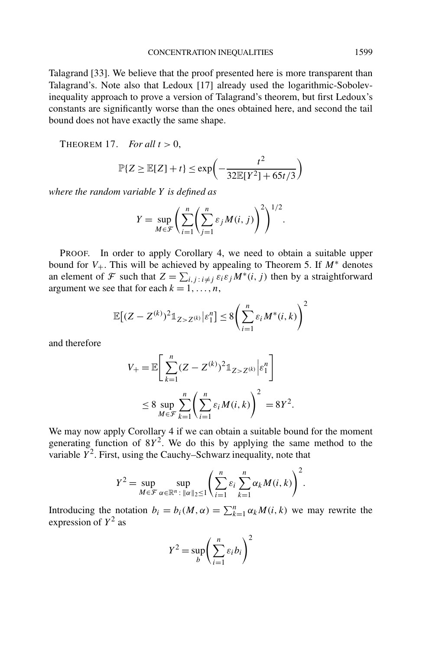Talagrand [33]. We believe that the proof presented here is more transparent than Talagrand's. Note also that Ledoux [17] already used the logarithmic-Sobolevinequality approach to prove a version of Talagrand's theorem, but first Ledoux's constants are significantly worse than the ones obtained here, and second the tail bound does not have exactly the same shape.

THEOREM 17. *For all*  $t > 0$ ,

$$
\mathbb{P}\{Z \ge \mathbb{E}[Z] + t\} \le \exp\left(-\frac{t^2}{32\mathbb{E}[Y^2] + 65t/3}\right)
$$

*where the random variable Y is defined as*

$$
Y = \sup_{M \in \mathcal{F}} \left( \sum_{i=1}^{n} \left( \sum_{j=1}^{n} \varepsilon_j M(i, j) \right)^2 \right)^{1/2}.
$$

PROOF. In order to apply Corollary 4, we need to obtain a suitable upper bound for  $V_+$ . This will be achieved by appealing to Theorem 5. If  $M^*$  denotes an element of  $\mathcal F$  such that  $Z = \sum_{i,j} \sum_{i \neq j} \mathcal E_i \mathcal E_j M^*(i,j)$  then by a straightforward argument we see that for each  $k = 1, \ldots, n$ ,

$$
\mathbb{E}\big[(Z-Z^{(k)})^2\mathbb{1}_{Z>Z^{(k)}}\big|\varepsilon_1^n\big]\leq 8\bigg(\sum_{i=1}^n\varepsilon_iM^*(i,k)\bigg)^2
$$

and therefore

$$
V_{+} = \mathbb{E}\bigg[\sum_{k=1}^{n} (Z - Z^{(k)})^2 \mathbb{1}_{Z > Z^{(k)}} \bigg| \varepsilon_1^n \bigg]
$$
  

$$
\leq 8 \sup_{M \in \mathcal{F}} \sum_{k=1}^{n} \bigg(\sum_{i=1}^{n} \varepsilon_i M(i,k)\bigg)^2 = 8Y^2.
$$

We may now apply Corollary 4 if we can obtain a suitable bound for the moment generating function of  $8Y^2$ . We do this by applying the same method to the variable  $\overline{Y}^2$ . First, using the Cauchy–Schwarz inequality, note that

$$
Y^{2} = \sup_{M \in \mathcal{F}} \sup_{\alpha \in \mathbb{R}^{n} : \|\alpha\|_{2} \leq 1} \left( \sum_{i=1}^{n} \varepsilon_{i} \sum_{k=1}^{n} \alpha_{k} M(i, k) \right)^{2}.
$$

Introducing the notation  $b_i = b_i(M, \alpha) = \sum_{k=1}^n \alpha_k M(i, k)$  we may rewrite the expression of  $Y^2$  as

$$
Y^2 = \sup_b \left( \sum_{i=1}^n \varepsilon_i b_i \right)^2
$$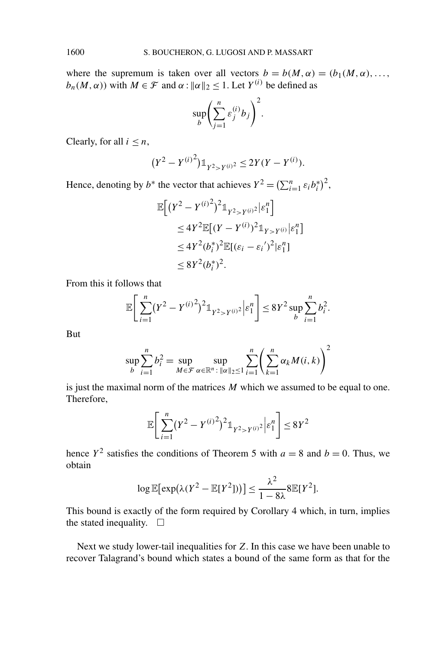where the supremum is taken over all vectors  $b = b(M, \alpha) = (b_1(M, \alpha), \dots,$  $b_n(M, \alpha)$ ) with  $M \in \mathcal{F}$  and  $\alpha : ||\alpha||_2 \leq 1$ . Let  $Y^{(i)}$  be defined as

$$
\sup_b \left( \sum_{j=1}^n \varepsilon_j^{(i)} b_j \right)^2
$$

*.*

Clearly, for all  $i \leq n$ ,

$$
(Y^2 - Y^{(i)^2}) \mathbb{1}_{Y^2 > Y^{(i)^2}} \le 2Y(Y - Y^{(i)}).
$$

Hence, denoting by  $b^*$  the vector that achieves  $Y^2 = \left(\sum_{i=1}^n \varepsilon_i b_i^*\right)^2$ ,

$$
\mathbb{E}\Big[(Y^2 - Y^{(i)^2})^2 \mathbb{1}_{Y^2 > Y^{(i)^2}} | \varepsilon_1^n \Big] \n\le 4Y^2 \mathbb{E}[(Y - Y^{(i)})^2 \mathbb{1}_{Y > Y^{(i)}} | \varepsilon_1^n ] \n\le 4Y^2 (b_i^*)^2 \mathbb{E}[(\varepsilon_i - \varepsilon_i')^2 | \varepsilon_1^n ] \n\le 8Y^2 (b_i^*)^2.
$$

From this it follows that

$$
\mathbb{E}\bigg[\sum_{i=1}^n (Y^2 - Y^{(i)}^2)^2 \mathbb{1}_{Y^2 > Y^{(i)}^2} \bigg| \varepsilon_1^n\bigg] \le 8Y^2 \sup_b \sum_{i=1}^n b_i^2.
$$

But

$$
\sup_{b} \sum_{i=1}^{n} b_i^2 = \sup_{M \in \mathcal{F}} \sup_{\alpha \in \mathbb{R}^n : ||\alpha||_2 \le 1} \sum_{i=1}^{n} \left( \sum_{k=1}^{n} \alpha_k M(i, k) \right)^2
$$

is just the maximal norm of the matrices *M* which we assumed to be equal to one. Therefore,

$$
\mathbb{E}\bigg[\sum_{i=1}^{n} (Y^2 - Y^{(i)^2})^2 \mathbb{1}_{Y^2 > Y^{(i)^2}} \bigg| \varepsilon_1^n \bigg] \le 8Y^2
$$

hence  $Y^2$  satisfies the conditions of Theorem 5 with  $a = 8$  and  $b = 0$ . Thus, we obtain

$$
\log \mathbb{E}[\exp(\lambda(Y^2 - \mathbb{E}[Y^2]))] \le \frac{\lambda^2}{1 - 8\lambda} 8 \mathbb{E}[Y^2].
$$

This bound is exactly of the form required by Corollary 4 which, in turn, implies the stated inequality.  $\square$ 

Next we study lower-tail inequalities for *Z*. In this case we have been unable to recover Talagrand's bound which states a bound of the same form as that for the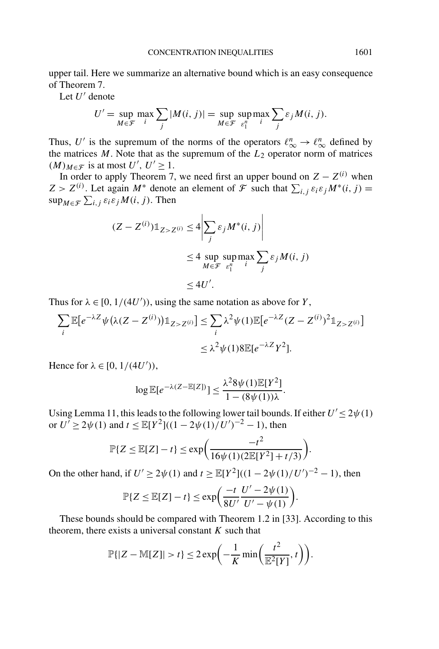upper tail. Here we summarize an alternative bound which is an easy consequence of Theorem 7.

Let U' denote

$$
U' = \sup_{M \in \mathcal{F}} \max_{i} \sum_{j} |M(i, j)| = \sup_{M \in \mathcal{F}} \sup_{\varepsilon_1^n} \max_{i} \sum_{j} \varepsilon_j M(i, j).
$$

Thus, U' is the supremum of the norms of the operators  $\ell_{\infty}^n \to \ell_{\infty}^n$  defined by the matrices  $M$ . Note that as the supremum of the  $L_2$  operator norm of matrices  $(M)_{M \in \mathcal{F}}$  is at most  $U', U' \geq 1$ .

In order to apply Theorem 7, we need first an upper bound on  $Z - Z^{(i)}$  when  $Z > Z^{(i)}$ . Let again  $M^*$  denote an element of  $\mathcal{F}$  such that  $\sum_{i,j} \varepsilon_i \varepsilon_j M^*(i,j) =$  $\sup_{M \in \mathcal{F}} \sum_{i,j} \varepsilon_i \varepsilon_j M(i, j)$ . Then

$$
(Z - Z^{(i)})\mathbb{1}_{Z > Z^{(i)}} \le 4 \left| \sum_{j} \varepsilon_{j} M^{*}(i, j) \right|
$$
  

$$
\le 4 \sup_{M \in \mathcal{F}} \sup_{\varepsilon_{1}^{n}} \max_{i} \sum_{j} \varepsilon_{j} M(i, j)
$$
  

$$
\le 4U'.
$$

Thus for  $\lambda \in [0, 1/(4U'))$ , using the same notation as above for *Y*,

$$
\sum_{i} \mathbb{E}[e^{-\lambda Z} \psi(\lambda(Z - Z^{(i)})) \mathbb{1}_{Z > Z^{(i)}}] \leq \sum_{i} \lambda^2 \psi(1) \mathbb{E}[e^{-\lambda Z} (Z - Z^{(i)})^2 \mathbb{1}_{Z > Z^{(i)}}]
$$
  

$$
\leq \lambda^2 \psi(1) 8 \mathbb{E}[e^{-\lambda Z} Y^2].
$$

Hence for  $\lambda \in [0, 1/(4U'))$ ,

$$
\log \mathbb{E}[e^{-\lambda(Z-\mathbb{E}[Z])}] \leq \frac{\lambda^2 8\psi(1)\mathbb{E}[Y^2]}{1-(8\psi(1))\lambda}.
$$

Using Lemma 11, this leads to the following lower tail bounds. If either  $U' \leq 2\psi(1)$ or  $U' \ge 2\psi(1)$  and  $t \le \mathbb{E}[Y^2]((1 - 2\psi(1)/U')^{-2} - 1)$ , then

$$
\mathbb{P}\{Z \le \mathbb{E}[Z] - t\} \le \exp\bigg(\frac{-t^2}{16\psi(1)(2\mathbb{E}[Y^2] + t/3)}\bigg).
$$

On the other hand, if  $U' \ge 2\psi(1)$  and  $t \ge \mathbb{E}[Y^2]((1 - 2\psi(1)/U')^{-2} - 1)$ , then

$$
\mathbb{P}\{Z \le \mathbb{E}[Z] - t\} \le \exp\left(\frac{-t}{8U'}\frac{U' - 2\psi(1)}{U' - \psi(1)}\right)
$$

*.*

These bounds should be compared with Theorem 1.2 in [33]. According to this theorem, there exists a universal constant *K* such that

$$
\mathbb{P}\{|Z-\mathbb{M}[Z]|>t\}\leq 2\exp\biggl(-\frac{1}{K}\min\biggl(\frac{t^2}{\mathbb{E}^2[Y]},t\biggr)\biggr).
$$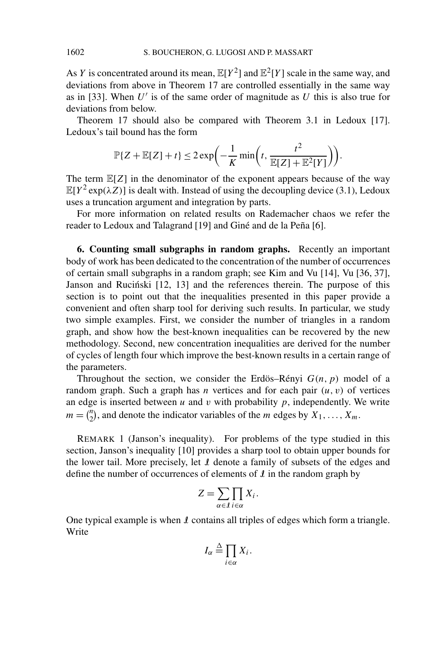As *Y* is concentrated around its mean,  $\mathbb{E}[Y^2]$  and  $\mathbb{E}^2[Y]$  scale in the same way, and deviations from above in Theorem 17 are controlled essentially in the same way as in [33]. When  $U'$  is of the same order of magnitude as  $U$  this is also true for deviations from below.

Theorem 17 should also be compared with Theorem 3.1 in Ledoux [17]. Ledoux's tail bound has the form

$$
\mathbb{P}\{Z+\mathbb{E}[Z]+t\} \leq 2\exp\biggl(-\frac{1}{K}\min\biggl(t,\frac{t^2}{\mathbb{E}[Z]+\mathbb{E}^2[Y]}\biggr)\biggr).
$$

The term  $\mathbb{E}[Z]$  in the denominator of the exponent appears because of the way  $\mathbb{E}[Y^2 \exp(\lambda Z)]$  is dealt with. Instead of using the decoupling device (3.1), Ledoux uses a truncation argument and integration by parts.

For more information on related results on Rademacher chaos we refer the reader to Ledoux and Talagrand [19] and Giné and de la Peña [6].

**6. Counting small subgraphs in random graphs.** Recently an important body of work has been dedicated to the concentration of the number of occurrences of certain small subgraphs in a random graph; see Kim and Vu [14], Vu [36, 37], Janson and Rucinski [12, 13] and the references therein. The purpose of this section is to point out that the inequalities presented in this paper provide a convenient and often sharp tool for deriving such results. In particular, we study two simple examples. First, we consider the number of triangles in a random graph, and show how the best-known inequalities can be recovered by the new methodology. Second, new concentration inequalities are derived for the number of cycles of length four which improve the best-known results in a certain range of the parameters.

Throughout the section, we consider the Erdös–Rényi *G(n, p)* model of a random graph. Such a graph has *n* vertices and for each pair  $(u, v)$  of vertices an edge is inserted between  $u$  and  $v$  with probability  $p$ , independently. We write  $m = \binom{n}{2}$ , and denote the indicator variables of the *m* edges by  $X_1, \ldots, X_m$ .

REMARK 1 (Janson's inequality). For problems of the type studied in this section, Janson's inequality [10] provides a sharp tool to obtain upper bounds for the lower tail. More precisely, let  $I$  denote a family of subsets of the edges and define the number of occurrences of elements of  $\ell$  in the random graph by

$$
Z = \sum_{\alpha \in \mathcal{I}} \prod_{i \in \alpha} X_i.
$$

One typical example is when  $\ell$  contains all triples of edges which form a triangle. Write

$$
I_{\alpha} \stackrel{\Delta}{=} \prod_{i \in \alpha} X_i.
$$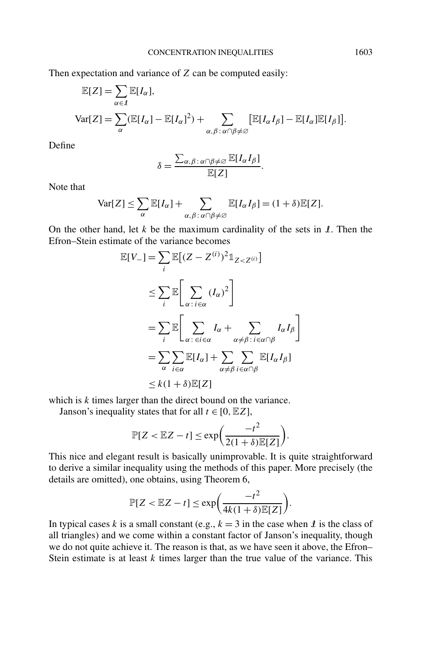Then expectation and variance of *Z* can be computed easily:

$$
\mathbb{E}[Z] = \sum_{\alpha \in \mathcal{I}} \mathbb{E}[I_{\alpha}],
$$
  
 
$$
Var[Z] = \sum_{\alpha} (\mathbb{E}[I_{\alpha}] - \mathbb{E}[I_{\alpha}]^2) + \sum_{\alpha, \beta : \alpha \cap \beta \neq \varnothing} [\mathbb{E}[I_{\alpha}I_{\beta}] - \mathbb{E}[I_{\alpha}]\mathbb{E}[I_{\beta}]].
$$

Define

$$
\delta = \frac{\sum_{\alpha,\beta \,:\, \alpha \cap \beta \neq \varnothing} \mathbb{E}[I_{\alpha}I_{\beta}]}{\mathbb{E}[Z]}.
$$

Note that

$$
\text{Var}[Z] \leq \sum_{\alpha} \mathbb{E}[I_{\alpha}] + \sum_{\alpha, \beta : \alpha \cap \beta \neq \varnothing} \mathbb{E}[I_{\alpha}I_{\beta}] = (1 + \delta) \mathbb{E}[Z].
$$

On the other hand, let  $k$  be the maximum cardinality of the sets in  $\mathcal{I}$ . Then the Efron–Stein estimate of the variance becomes

$$
\mathbb{E}[V_{-}] = \sum_{i} \mathbb{E}[(Z - Z^{(i)})^{2} \mathbb{1}_{Z < Z^{(i)}}]
$$
\n
$$
\leq \sum_{i} \mathbb{E}\bigg[\sum_{\alpha : i \in \alpha} (I_{\alpha})^{2}\bigg]
$$
\n
$$
= \sum_{i} \mathbb{E}\bigg[\sum_{\alpha : \in i \in \alpha} I_{\alpha} + \sum_{\alpha \neq \beta : i \in \alpha \cap \beta} I_{\alpha} I_{\beta}\bigg]
$$
\n
$$
= \sum_{\alpha} \sum_{i \in \alpha} \mathbb{E}[I_{\alpha}] + \sum_{\alpha \neq \beta} \sum_{i \in \alpha \cap \beta} \mathbb{E}[I_{\alpha} I_{\beta}]
$$
\n
$$
\leq k(1 + \delta)\mathbb{E}[Z]
$$

which is *k* times larger than the direct bound on the variance.

Janson's inequality states that for all  $t \in [0, EZ]$ ,

$$
\mathbb{P}[Z < \mathbb{E}Z - t] \le \exp\bigg(\frac{-t^2}{2(1+\delta)\mathbb{E}[Z]}\bigg).
$$

This nice and elegant result is basically unimprovable. It is quite straightforward to derive a similar inequality using the methods of this paper. More precisely (the details are omitted), one obtains, using Theorem 6,

$$
\mathbb{P}[Z < \mathbb{E}Z - t] \le \exp\bigg(\frac{-t^2}{4k(1+\delta)\mathbb{E}[Z]}\bigg).
$$

In typical cases *k* is a small constant (e.g.,  $k = 3$  in the case when *l* is the class of all triangles) and we come within a constant factor of Janson's inequality, though we do not quite achieve it. The reason is that, as we have seen it above, the Efron– Stein estimate is at least *k* times larger than the true value of the variance. This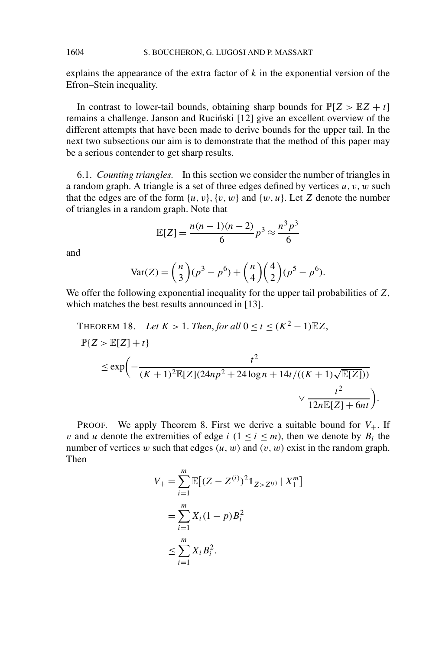explains the appearance of the extra factor of *k* in the exponential version of the Efron–Stein inequality.

In contrast to lower-tail bounds, obtaining sharp bounds for  $P[Z > EZ + t]$ remains a challenge. Janson and Ruciński [12] give an excellent overview of the different attempts that have been made to derive bounds for the upper tail. In the next two subsections our aim is to demonstrate that the method of this paper may be a serious contender to get sharp results.

6.1. *Counting triangles.* In this section we consider the number of triangles in a random graph. A triangle is a set of three edges defined by vertices *u, v, w* such that the edges are of the form  $\{u, v\}$ ,  $\{v, w\}$  and  $\{w, u\}$ . Let *Z* denote the number of triangles in a random graph. Note that

$$
\mathbb{E}[Z] = \frac{n(n-1)(n-2)}{6}p^3 \approx \frac{n^3p^3}{6}
$$

and

$$
Var(Z) = {n \choose 3} (p^3 - p^6) + {n \choose 4} {4 \choose 2} (p^5 - p^6).
$$

We offer the following exponential inequality for the upper tail probabilities of *Z*, which matches the best results announced in [13].

THEOREM 18. Let 
$$
K > 1
$$
. Then, for all  $0 \le t \le (K^2 - 1)\mathbb{E}Z$ ,  
\n
$$
\mathbb{P}\{Z > \mathbb{E}[Z] + t\} \le \exp\left(-\frac{t^2}{(K+1)^2 \mathbb{E}[Z](24np^2 + 24\log n + 14t/((K+1)\sqrt{\mathbb{E}[Z]}))}\right) \times \frac{t^2}{12n\mathbb{E}[Z] + 6nt)}
$$

*.*

**PROOF.** We apply Theorem 8. First we derive a suitable bound for  $V_+$ . If *v* and *u* denote the extremities of edge *i* ( $1 \le i \le m$ ), then we denote by  $B_i$  the number of vertices *w* such that edges  $(u, w)$  and  $(v, w)$  exist in the random graph. Then

$$
V_{+} = \sum_{i=1}^{m} \mathbb{E}[(Z - Z^{(i)})^{2}1_{Z > Z^{(i)}} | X_{1}^{m}]
$$
  
= 
$$
\sum_{i=1}^{m} X_{i} (1 - p) B_{i}^{2}
$$
  

$$
\leq \sum_{i=1}^{m} X_{i} B_{i}^{2}.
$$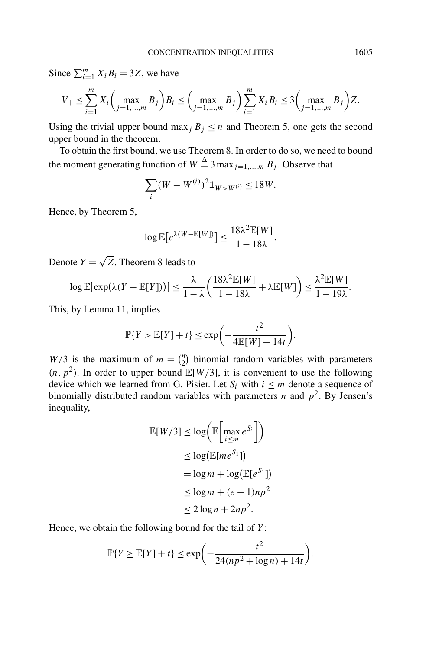Since  $\sum_{i=1}^{m} X_i B_i = 3Z$ , we have

$$
V_{+} \leq \sum_{i=1}^{m} X_{i} \left( \max_{j=1,\dots,m} B_{j} \right) B_{i} \leq \left( \max_{j=1,\dots,m} B_{j} \right) \sum_{i=1}^{m} X_{i} B_{i} \leq 3 \left( \max_{j=1,\dots,m} B_{j} \right) Z.
$$

Using the trivial upper bound max<sub>j</sub>  $B_j \le n$  and Theorem 5, one gets the second upper bound in the theorem.

To obtain the first bound, we use Theorem 8. In order to do so, we need to bound the moment generating function of  $W \stackrel{\Delta}{=} 3 \max_{j=1,...,m} B_j$ . Observe that

$$
\sum_{i} (W - W^{(i)})^2 \mathbb{1}_{W > W^{(i)}} \le 18W.
$$

Hence, by Theorem 5,

$$
\log \mathbb{E}\big[e^{\lambda(W - \mathbb{E}[W])}\big] \le \frac{18\lambda^2 \mathbb{E}[W]}{1 - 18\lambda}.
$$

Denote  $Y = \sqrt{Z}$ . Theorem 8 leads to

$$
\log \mathbb{E}[\exp(\lambda(Y - \mathbb{E}[Y]))] \leq \frac{\lambda}{1 - \lambda} \left( \frac{18\lambda^2 \mathbb{E}[W]}{1 - 18\lambda} + \lambda \mathbb{E}[W] \right) \leq \frac{\lambda^2 \mathbb{E}[W]}{1 - 19\lambda}.
$$

This, by Lemma 11, implies

$$
\mathbb{P}\{Y > \mathbb{E}[Y] + t\} \le \exp\biggl(-\frac{t^2}{4\mathbb{E}[W] + 14t}\biggr).
$$

 $W/3$  is the maximum of  $m = \binom{n}{2}$  binomial random variables with parameters  $(n, p^2)$ . In order to upper bound  $\mathbb{E}[W/3]$ , it is convenient to use the following device which we learned from G. Pisier. Let  $S_i$  with  $i \leq m$  denote a sequence of binomially distributed random variables with parameters *n* and  $p^2$ . By Jensen's inequality,

$$
\mathbb{E}[W/3] \le \log \left( \mathbb{E} \left[ \max_{i \le m} e^{S_i} \right] \right)
$$
  
\n
$$
\le \log \left( \mathbb{E}[me^{S_1}] \right)
$$
  
\n
$$
= \log m + \log \left( \mathbb{E}[e^{S_1}] \right)
$$
  
\n
$$
\le \log m + (e - 1)np^2
$$
  
\n
$$
\le 2 \log n + 2np^2.
$$

Hence, we obtain the following bound for the tail of *Y* :

$$
\mathbb{P}\{Y \ge \mathbb{E}[Y] + t\} \le \exp\biggl(-\frac{t^2}{24(np^2 + \log n) + 14t}\biggr).
$$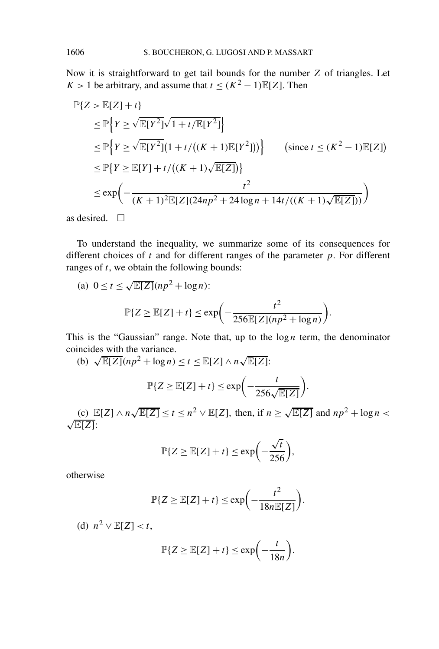Now it is straightforward to get tail bounds for the number *Z* of triangles. Let *K* > 1 be arbitrary, and assume that  $t < (K^2 - 1)E[Z]$ . Then

$$
\mathbb{P}{Z > \mathbb{E}[Z] + t}
$$
\n
$$
\leq \mathbb{P}\Big\{Y \geq \sqrt{\mathbb{E}[Y^2]} \sqrt{1 + t/\mathbb{E}[Y^2]}\Big\}
$$
\n
$$
\leq \mathbb{P}\Big\{Y \geq \sqrt{\mathbb{E}[Y^2]}(1 + t/((K+1)\mathbb{E}[Y^2]))\Big\} \qquad \text{(since } t \leq (K^2 - 1)\mathbb{E}[Z])
$$
\n
$$
\leq \mathbb{P}\Big\{Y \geq \mathbb{E}[Y] + t/((K+1)\sqrt{\mathbb{E}[Z]})\Big\}
$$
\n
$$
\leq \exp\Big(-\frac{t^2}{(K+1)^2\mathbb{E}[Z](24np^2 + 24\log n + 14t/((K+1)\sqrt{\mathbb{E}[Z]}))}\Big)
$$

as desired.  $\Box$ 

To understand the inequality, we summarize some of its consequences for different choices of *t* and for different ranges of the parameter *p*. For different ranges of *t*, we obtain the following bounds:

(a) 
$$
0 \le t \le \sqrt{\mathbb{E}[Z]}(np^2 + \log n)
$$
:  
\n
$$
\mathbb{P}\{Z \ge \mathbb{E}[Z] + t\} \le \exp\left(-\frac{t^2}{256\mathbb{E}[Z](np^2 + \log n)}\right).
$$

This is the "Gaussian" range. Note that, up to the  $\log n$  term, the denominator

coincides with the variance.  
\n(b) 
$$
\sqrt{\mathbb{E}[Z]}(np^2 + \log n) \le t \le \mathbb{E}[Z] \wedge n\sqrt{\mathbb{E}[Z]}:
$$
  
\n
$$
\mathbb{P}\{Z \ge \mathbb{E}[Z] + t\} \le \exp\left(-\frac{t}{256\sqrt{\mathbb{E}[Z]}}\right).
$$

(c)  $\mathbb{E}[Z] \wedge n\sqrt{\mathbb{E}[Z]} \le t \le n^2 \vee \mathbb{E}[Z]$ , then, if  $n \ge \sqrt{\mathbb{E}[Z]}$  and  $np^2 + \log n <$ <sup>√</sup>E[*Z*]:

$$
\mathbb{P}\{Z \ge \mathbb{E}[Z] + t\} \le \exp\biggl(-\frac{\sqrt{t}}{256}\biggr),\,
$$

otherwise

$$
\mathbb{P}\{Z \ge \mathbb{E}[Z] + t\} \le \exp\biggl(-\frac{t^2}{18n\mathbb{E}[Z]}\biggr).
$$

(d)  $n^2 \vee \mathbb{E}[Z] < t$ ,

$$
\mathbb{P}\{Z \ge \mathbb{E}[Z] + t\} \le \exp\biggl(-\frac{t}{18n}\biggr).
$$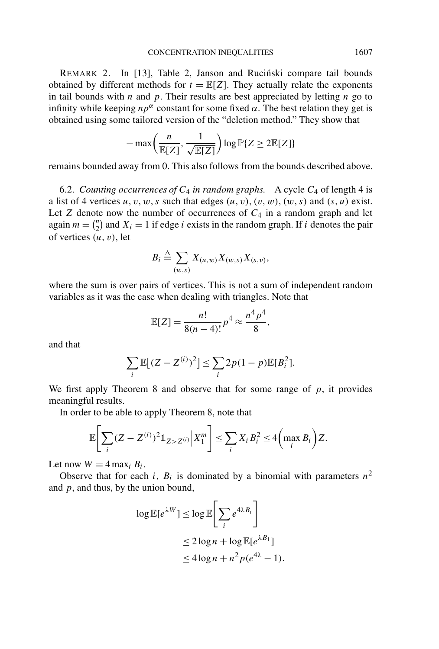REMARK 2. In [13], Table 2, Janson and Rucinski compare tail bounds obtained by different methods for  $t = \mathbb{E}[Z]$ . They actually relate the exponents in tail bounds with *n* and *p*. Their results are best appreciated by letting *n* go to infinity while keeping  $np^{\alpha}$  constant for some fixed  $\alpha$ . The best relation they get is obtained using some tailored version of the "deletion method." They show that

$$
-\max\left(\frac{n}{\mathbb{E}[Z]}, \frac{1}{\sqrt{\mathbb{E}[Z]}}\right) \log \mathbb{P}\{Z \ge 2\mathbb{E}[Z]\}
$$

remains bounded away from 0. This also follows from the bounds described above.

6.2. *Counting occurrences of*  $C_4$  *in random graphs.* A cycle  $C_4$  of length 4 is a list of 4 vertices  $u, v, w, s$  such that edges  $(u, v), (v, w), (w, s)$  and  $(s, u)$  exist. Let  $Z$  denote now the number of occurrences of  $C_4$  in a random graph and let again  $m = \binom{n}{2}$  and  $X_i = 1$  if edge *i* exists in the random graph. If *i* denotes the pair of vertices *(u, v)*, let

$$
B_i \triangleq \sum_{(w,s)} X_{(u,w)} X_{(w,s)} X_{(s,v)},
$$

where the sum is over pairs of vertices. This is not a sum of independent random variables as it was the case when dealing with triangles. Note that

$$
\mathbb{E}[Z] = \frac{n!}{8(n-4)!} p^4 \approx \frac{n^4 p^4}{8},
$$

and that

$$
\sum_i \mathbb{E}[(Z-Z^{(i)})^2] \le \sum_i 2p(1-p)\mathbb{E}[B_i^2].
$$

We first apply Theorem 8 and observe that for some range of *p*, it provides meaningful results.

In order to be able to apply Theorem 8, note that

$$
\mathbb{E}\bigg[\sum_{i} (Z - Z^{(i)})^2 \mathbb{1}_{Z > Z^{(i)}} \bigg| X_1^m \bigg] \leq \sum_{i} X_i B_i^2 \leq 4 \bigg(\max_i B_i\bigg) Z.
$$

Let now  $W = 4 \max_i B_i$ .

Observe that for each *i*,  $B_i$  is dominated by a binomial with parameters  $n^2$ and *p*, and thus, by the union bound,

$$
\log \mathbb{E}[e^{\lambda W}] \le \log \mathbb{E}\bigg[\sum_i e^{4\lambda B_i}\bigg]
$$
  
\n
$$
\le 2\log n + \log \mathbb{E}[e^{\lambda B_1}]
$$
  
\n
$$
\le 4\log n + n^2 p(e^{4\lambda} - 1).
$$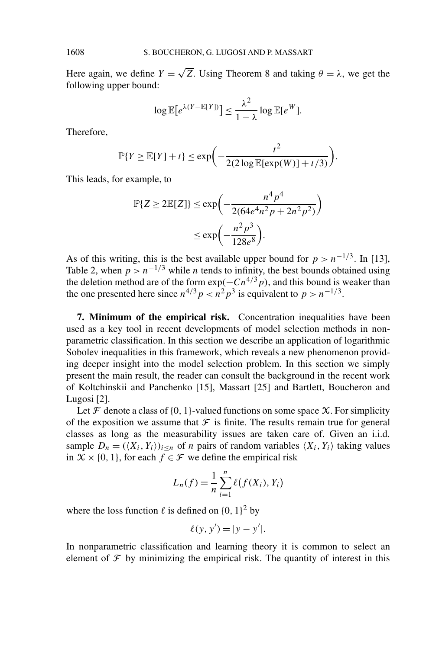Here again, we define  $Y = \sqrt{Z}$ . Using Theorem 8 and taking  $\theta = \lambda$ , we get the following upper bound:

$$
\log \mathbb{E}[e^{\lambda(Y - \mathbb{E}[Y])}] \leq \frac{\lambda^2}{1 - \lambda} \log \mathbb{E}[e^W].
$$

Therefore,

$$
\mathbb{P}\{Y \ge \mathbb{E}[Y] + t\} \le \exp\biggl(-\frac{t^2}{2(2\log \mathbb{E}[\exp(W)] + t/3)}\biggr).
$$

This leads, for example, to

$$
\mathbb{P}\{Z \ge 2\mathbb{E}[Z]\} \le \exp\left(-\frac{n^4p^4}{2(64e^4n^2p + 2n^2p^2)}\right)
$$

$$
\le \exp\left(-\frac{n^2p^3}{128e^8}\right).
$$

As of this writing, this is the best available upper bound for  $p > n^{-1/3}$ . In [13], Table 2, when  $p > n^{-1/3}$  while *n* tends to infinity, the best bounds obtained using the deletion method are of the form  $exp(-Cn^{4/3}p)$ , and this bound is weaker than the one presented here since  $n^{4/3} p < n^2 p^3$  is equivalent to  $p > n^{-1/3}$ .

**7. Minimum of the empirical risk.** Concentration inequalities have been used as a key tool in recent developments of model selection methods in nonparametric classification. In this section we describe an application of logarithmic Sobolev inequalities in this framework, which reveals a new phenomenon providing deeper insight into the model selection problem. In this section we simply present the main result, the reader can consult the background in the recent work of Koltchinskii and Panchenko [15], Massart [25] and Bartlett, Boucheron and Lugosi [2].

Let  $\mathcal F$  denote a class of  $\{0, 1\}$ -valued functions on some space  $\mathcal X$ . For simplicity of the exposition we assume that  $\mathcal F$  is finite. The results remain true for general classes as long as the measurability issues are taken care of. Given an i.i.d. sample  $D_n = (\langle X_i, Y_i \rangle)_{i \le n}$  of *n* pairs of random variables  $\langle X_i, Y_i \rangle$  taking values in  $X \times \{0, 1\}$ , for each  $f \in \mathcal{F}$  we define the empirical risk

$$
L_n(f) = \frac{1}{n} \sum_{i=1}^n \ell(f(X_i), Y_i)
$$

where the loss function  $\ell$  is defined on  $\{0, 1\}^2$  by

$$
\ell(y, y') = |y - y'|.
$$

In nonparametric classification and learning theory it is common to select an element of  $\mathcal F$  by minimizing the empirical risk. The quantity of interest in this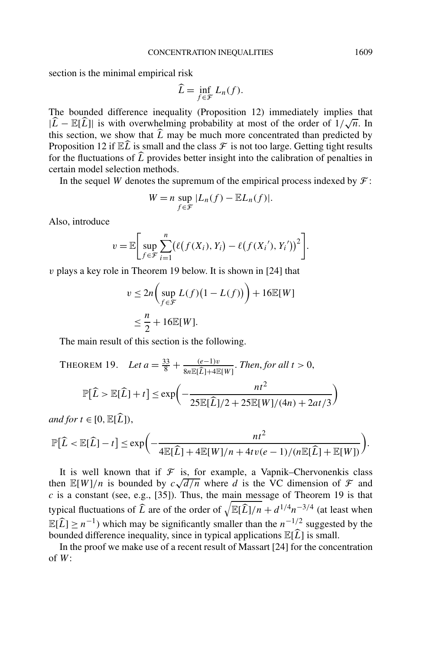section is the minimal empirical risk

$$
\widehat{L} = \inf_{f \in \mathcal{F}} L_n(f).
$$

The bounded difference inequality (Proposition 12) immediately implies that  $|\hat{L} - \mathbb{E}[\hat{L}]|$  is with overwhelming probability at most of the order of  $1/\sqrt{n}$ . In this section, we show that *L* may be much more concentrated than predicted by Proposition 12 if  $\mathbb{E}\widehat{L}$  is small and the class  $\mathcal F$  is not too large. Getting tight results for the fluctuations of *L* provides better insight into the calibration of penalties in certain model selection methods.

In the sequel *W* denotes the supremum of the empirical process indexed by  $\mathcal{F}$ :

$$
W = n \sup_{f \in \mathcal{F}} |L_n(f) - \mathbb{E}L_n(f)|.
$$

Also, introduce

$$
v = \mathbb{E}\bigg[\sup_{f \in \mathcal{F}} \sum_{i=1}^n (\ell(f(X_i), Y_i) - \ell(f(X_i'), Y_i'))^2\bigg].
$$

*v* plays a key role in Theorem 19 below. It is shown in [24] that

$$
v \le 2n \left( \sup_{f \in \mathcal{F}} L(f)(1 - L(f)) \right) + 16\mathbb{E}[W]
$$
  

$$
\le \frac{n}{2} + 16\mathbb{E}[W].
$$

The main result of this section is the following.

THEOREM 19. Let 
$$
a = \frac{33}{8} + \frac{(e-1)v}{8n \mathbb{E}[\hat{L}] + 4\mathbb{E}[W]}
$$
. Then, for all  $t > 0$ ,

$$
\mathbb{P}[\widehat{L} > \mathbb{E}[\widehat{L}] + t] \le \exp\left(-\frac{nt^2}{25\mathbb{E}[\widehat{L}]/2 + 25\mathbb{E}[W]/(4n) + 2at/3}\right)
$$

*and for*  $t \in [0, \mathbb{E}[\hat{L}]),$ 

$$
\mathbb{P}[\widehat{L} < \mathbb{E}[\widehat{L}] - t] \le \exp\biggl(-\frac{nt^2}{4\mathbb{E}[\widehat{L}] + 4\mathbb{E}[W]/n + 4tv(e-1)/(n\mathbb{E}[\widehat{L}] + \mathbb{E}[W])}\biggr).
$$

It is well known that if  $\mathcal F$  is, for example, a Vapnik–Chervonenkis class It is well known that if *f* is, for example, a vaphik–Chervonenkis class<br>then  $\mathbb{E}[W]/n$  is bounded by  $c\sqrt{d/n}$  where *d* is the VC dimension of *f* and *c* is a constant (see, e.g., [35]). Thus, the main message of Theorem 19 is that typical fluctuations of  $\hat{L}$  are of the order of  $\sqrt{\mathbb{E}[\hat{L}]/n} + d^{1/4}n^{-3/4}$  (at least when  $\mathbb{E}[\widehat{L}] \geq n^{-1}$ ) which may be significantly smaller than the  $n^{-1/2}$  suggested by the bounded difference inequality, since in typical applications  $\mathbb{E}[\hat{L}]$  is small.

In the proof we make use of a recent result of Massart [24] for the concentration of *W*: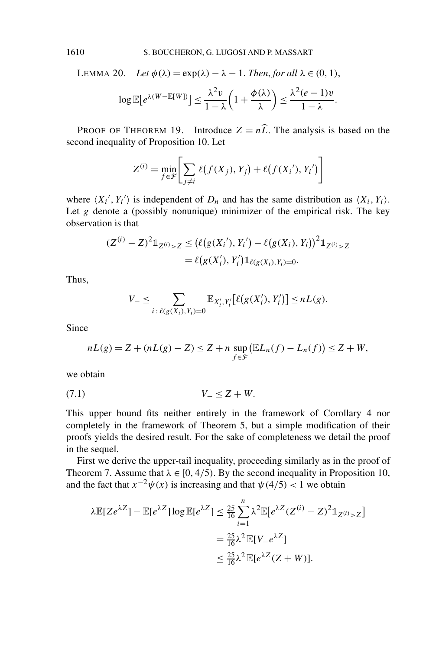LEMMA 20. Let 
$$
\phi(\lambda) = \exp(\lambda) - \lambda - 1
$$
. Then, for all  $\lambda \in (0, 1)$ ,  
\n
$$
\log \mathbb{E}[e^{\lambda(W - \mathbb{E}[W])}] \le \frac{\lambda^2 v}{1 - \lambda} \left(1 + \frac{\phi(\lambda)}{\lambda}\right) \le \frac{\lambda^2 (e - 1)v}{1 - \lambda}.
$$

PROOF OF THEOREM 19. Introduce  $Z = n\hat{L}$ . The analysis is based on the second inequality of Proposition 10. Let

$$
Z^{(i)} = \min_{f \in \mathcal{F}} \left[ \sum_{j \neq i} \ell(f(X_j), Y_j) + \ell(f(X_i'), Y_i') \right]
$$

where  $\langle X_i', Y_i' \rangle$  is independent of  $D_n$  and has the same distribution as  $\langle X_i, Y_i \rangle$ . Let  $g$  denote a (possibly nonunique) minimizer of the empirical risk. The key observation is that

$$
(Z^{(i)} - Z)^2 \mathbb{1}_{Z^{(i)} > Z} \le (\ell(g(X_i'), Y_i') - \ell(g(X_i), Y_i))^2 \mathbb{1}_{Z^{(i)} > Z}
$$
\n
$$
= \ell(g(X_i'), Y_i') \mathbb{1}_{\ell(g(X_i), Y_i) = 0}.
$$

Thus,

$$
V_{-} \leq \sum_{i \,:\, \ell(g(X_i), Y_i) = 0} \mathbb{E}_{X'_i, Y'_i} [\ell(g(X'_i), Y'_i)] \leq nL(g).
$$

Since

$$
nL(g) = Z + (nL(g) - Z) \le Z + n \sup_{f \in \mathcal{F}} (\mathbb{E}L_n(f) - L_n(f)) \le Z + W,
$$

we obtain

$$
(7.1) \t\t V_{-} \leq Z + W.
$$

This upper bound fits neither entirely in the framework of Corollary 4 nor completely in the framework of Theorem 5, but a simple modification of their proofs yields the desired result. For the sake of completeness we detail the proof in the sequel.

First we derive the upper-tail inequality, proceeding similarly as in the proof of Theorem 7. Assume that  $\lambda \in [0, 4/5)$ . By the second inequality in Proposition 10, and the fact that  $x^{-2}\psi(x)$  is increasing and that  $\psi(4/5) < 1$  we obtain

$$
\lambda \mathbb{E}[Ze^{\lambda Z}] - \mathbb{E}[e^{\lambda Z}] \log \mathbb{E}[e^{\lambda Z}] \le \frac{25}{16} \sum_{i=1}^{n} \lambda^2 \mathbb{E}[e^{\lambda Z} (Z^{(i)} - Z)^2 \mathbb{1}_{Z^{(i)} > Z}]
$$
  
=  $\frac{25}{16} \lambda^2 \mathbb{E}[V - e^{\lambda Z}]$   
 $\le \frac{25}{16} \lambda^2 \mathbb{E}[e^{\lambda Z} (Z + W)].$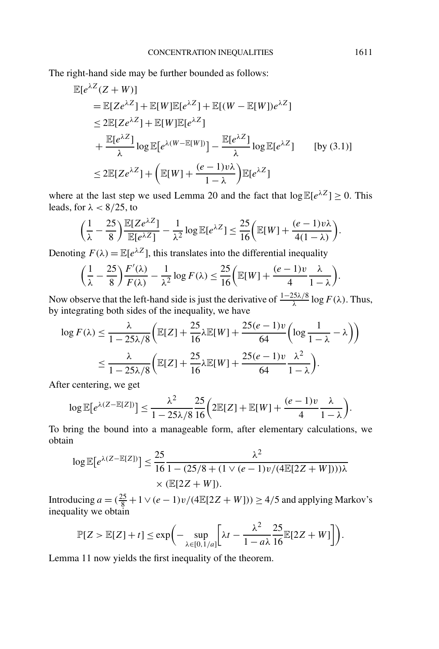The right-hand side may be further bounded as follows:

$$
\mathbb{E}[e^{\lambda Z}(Z+W)]
$$
\n
$$
= \mathbb{E}[Ze^{\lambda Z}] + \mathbb{E}[W]\mathbb{E}[e^{\lambda Z}] + \mathbb{E}[(W - \mathbb{E}[W])e^{\lambda Z}]
$$
\n
$$
\leq 2\mathbb{E}[Ze^{\lambda Z}] + \mathbb{E}[W]\mathbb{E}[e^{\lambda Z}]
$$
\n
$$
+ \frac{\mathbb{E}[e^{\lambda Z}]}{\lambda} \log \mathbb{E}[e^{\lambda(W - \mathbb{E}[W])}] - \frac{\mathbb{E}[e^{\lambda Z}]}{\lambda} \log \mathbb{E}[e^{\lambda Z}] \qquad \text{[by (3.1)]}
$$
\n
$$
\leq 2\mathbb{E}[Ze^{\lambda Z}] + \left(\mathbb{E}[W] + \frac{(e - 1)v\lambda}{1 - \lambda}\right) \mathbb{E}[e^{\lambda Z}]
$$

where at the last step we used Lemma 20 and the fact that  $\log \mathbb{E}[e^{\lambda Z}] \ge 0$ . This leads, for *λ <* 8*/*25, to

$$
\left(\frac{1}{\lambda}-\frac{25}{8}\right)\frac{\mathbb{E}[Ze^{\lambda Z}]}{\mathbb{E}[e^{\lambda Z}]}-\frac{1}{\lambda^2}\log \mathbb{E}[e^{\lambda Z}]\leq \frac{25}{16}\bigg(\mathbb{E}[W]+\frac{(e-1)v\lambda}{4(1-\lambda)}\bigg).
$$

Denoting  $F(\lambda) = \mathbb{E}[e^{\lambda Z}]$ , this translates into the differential inequality

$$
\left(\frac{1}{\lambda} - \frac{25}{8}\right) \frac{F'(\lambda)}{F(\lambda)} - \frac{1}{\lambda^2} \log F(\lambda) \le \frac{25}{16} \left(\mathbb{E}[W] + \frac{(e-1)\nu}{4} \frac{\lambda}{1-\lambda}\right).
$$

Now observe that the left-hand side is just the derivative of  $\frac{1-25\lambda/8}{\lambda} \log F(\lambda)$ . Thus, by integrating both sides of the inequality, we have

$$
\log F(\lambda) \le \frac{\lambda}{1 - 25\lambda/8} \left( \mathbb{E}[Z] + \frac{25}{16} \lambda \mathbb{E}[W] + \frac{25(e-1)v}{64} \left( \log \frac{1}{1 - \lambda} - \lambda \right) \right)
$$
  

$$
\le \frac{\lambda}{1 - 25\lambda/8} \left( \mathbb{E}[Z] + \frac{25}{16} \lambda \mathbb{E}[W] + \frac{25(e-1)v}{64} \frac{\lambda^2}{1 - \lambda} \right).
$$

After centering, we get

$$
\log \mathbb{E}[e^{\lambda(Z-\mathbb{E}[Z])}] \leq \frac{\lambda^2}{1-25\lambda/8} \frac{25}{16} \left(2\mathbb{E}[Z] + \mathbb{E}[W] + \frac{(e-1)v}{4} \frac{\lambda}{1-\lambda}\right).
$$

To bring the bound into a manageable form, after elementary calculations, we obtain

$$
\log \mathbb{E}[e^{\lambda (Z - \mathbb{E}[Z])}] \le \frac{25}{16} \frac{\lambda^2}{1 - (25/8 + (1 \vee (e - 1)v/(4\mathbb{E}[2Z + W]))\lambda} \times (\mathbb{E}[2Z + W]).
$$

Introducing  $a = (\frac{25}{8} + 1 \vee (e - 1)v/(4\mathbb{E}[2Z + W])) \ge 4/5$  and applying Markov's inequality we obtain

$$
\mathbb{P}[Z > \mathbb{E}[Z] + t] \le \exp\biggl(-\sup_{\lambda \in [0,1/a]} \biggl[\lambda t - \frac{\lambda^2}{1 - a\lambda} \frac{25}{16} \mathbb{E}[2Z + W]\biggr]\biggr).
$$

Lemma 11 now yields the first inequality of the theorem.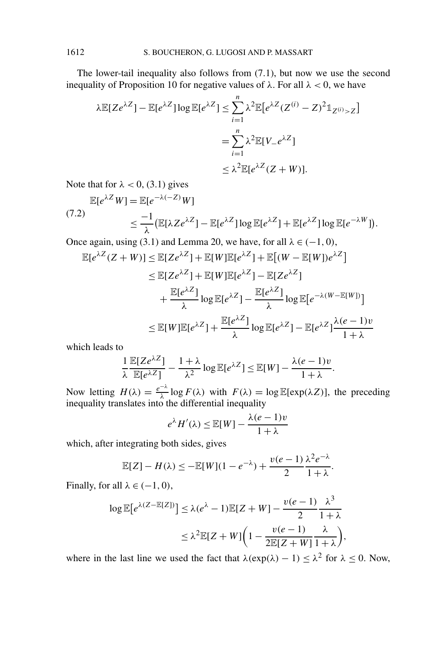The lower-tail inequality also follows from (7.1), but now we use the second inequality of Proposition 10 for negative values of  $\lambda$ . For all  $\lambda < 0$ , we have

$$
\lambda \mathbb{E}[Ze^{\lambda Z}] - \mathbb{E}[e^{\lambda Z}] \log \mathbb{E}[e^{\lambda Z}] \le \sum_{i=1}^{n} \lambda^2 \mathbb{E}[e^{\lambda Z} (Z^{(i)} - Z)^2 \mathbb{1}_{Z^{(i)} > Z}]
$$
  
= 
$$
\sum_{i=1}^{n} \lambda^2 \mathbb{E}[V_{-}e^{\lambda Z}]
$$
  

$$
\le \lambda^2 \mathbb{E}[e^{\lambda Z} (Z + W)].
$$

Note that for  $\lambda < 0$ , (3.1) gives

$$
\mathbb{E}[e^{\lambda Z}W] = \mathbb{E}[e^{-\lambda(-Z)}W] \le \frac{-1}{\lambda} (\mathbb{E}[\lambda Ze^{\lambda Z}] - \mathbb{E}[e^{\lambda Z}]\log \mathbb{E}[e^{\lambda Z}] + \mathbb{E}[e^{\lambda Z}]\log \mathbb{E}[e^{-\lambda W}]).
$$
\n(7.2)

Once again, using (3.1) and Lemma 20, we have, for all  $\lambda \in (-1, 0)$ ,

$$
\mathbb{E}[e^{\lambda Z}(Z+W)] \leq \mathbb{E}[Ze^{\lambda Z}] + \mathbb{E}[W]\mathbb{E}[e^{\lambda Z}] + \mathbb{E}[(W - \mathbb{E}[W])e^{\lambda Z}]
$$
  
\n
$$
\leq \mathbb{E}[Ze^{\lambda Z}] + \mathbb{E}[W]\mathbb{E}[e^{\lambda Z}] - \mathbb{E}[Ze^{\lambda Z}]
$$
  
\n
$$
+ \frac{\mathbb{E}[e^{\lambda Z}]}{\lambda} \log \mathbb{E}[e^{\lambda Z}] - \frac{\mathbb{E}[e^{\lambda Z}]}{\lambda} \log \mathbb{E}[e^{-\lambda(W - \mathbb{E}[W])}]
$$
  
\n
$$
\leq \mathbb{E}[W]\mathbb{E}[e^{\lambda Z}] + \frac{\mathbb{E}[e^{\lambda Z}]}{\lambda} \log \mathbb{E}[e^{\lambda Z}] - \mathbb{E}[e^{\lambda Z}] \frac{\lambda(e - 1)v}{1 + \lambda}
$$

which leads to

$$
\frac{1}{\lambda} \frac{\mathbb{E}[Ze^{\lambda Z}]}{\mathbb{E}[e^{\lambda Z}]} - \frac{1+\lambda}{\lambda^2} \log \mathbb{E}[e^{\lambda Z}] \le \mathbb{E}[W] - \frac{\lambda(e-1)v}{1+\lambda}.
$$

Now letting  $H(\lambda) = \frac{e^{-\lambda}}{\lambda} \log F(\lambda)$  with  $F(\lambda) = \log \mathbb{E}[\exp(\lambda Z)]$ , the preceding inequality translates into the differential inequality

$$
e^{\lambda}H'(\lambda) \le \mathbb{E}[W] - \frac{\lambda(e-1)v}{1+\lambda}
$$

which, after integrating both sides, gives

$$
\mathbb{E}[Z] - H(\lambda) \le -\mathbb{E}[W](1 - e^{-\lambda}) + \frac{v(e-1)}{2} \frac{\lambda^2 e^{-\lambda}}{1 + \lambda}.
$$

Finally, for all  $\lambda \in (-1, 0)$ ,

$$
\log \mathbb{E}[e^{\lambda (Z - \mathbb{E}[Z])}] \le \lambda (e^{\lambda} - 1) \mathbb{E}[Z + W] - \frac{v(e - 1)}{2} \frac{\lambda^3}{1 + \lambda}
$$
  

$$
\le \lambda^2 \mathbb{E}[Z + W] \bigg( 1 - \frac{v(e - 1)}{2 \mathbb{E}[Z + W]} \frac{\lambda}{1 + \lambda} \bigg),
$$

where in the last line we used the fact that  $\lambda(\exp(\lambda) - 1) \leq \lambda^2$  for  $\lambda \leq 0$ . Now,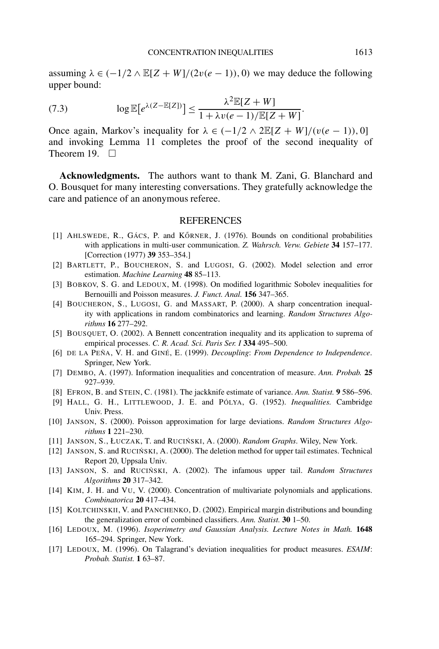assuming  $\lambda \in (-1/2 \wedge \mathbb{E}[Z + W]/(2v(e - 1)), 0)$  we may deduce the following upper bound:

(7.3) 
$$
\log \mathbb{E}[e^{\lambda (Z - \mathbb{E}[Z])}] \leq \frac{\lambda^2 \mathbb{E}[Z + W]}{1 + \lambda v (e - 1)/\mathbb{E}[Z + W]}.
$$

Once again, Markov's inequality for  $\lambda \in (-1/2 \wedge 2\mathbb{E}[Z + W]/(v(e - 1)), 0]$ and invoking Lemma 11 completes the proof of the second inequality of Theorem 19.  $\square$ 

**Acknowledgments.** The authors want to thank M. Zani, G. Blanchard and O. Bousquet for many interesting conversations. They gratefully acknowledge the care and patience of an anonymous referee.

## REFERENCES

- [1] AHLSWEDE, R., GÁCS, P. and KŐRNER, J. (1976). Bounds on conditional probabilities with applications in multi-user communication. *Z. Wahrsch. Verw. Gebiete* **34** 157–177. [Correction (1977) **39** 353–354.]
- [2] BARTLETT, P., BOUCHERON, S. and LUGOSI, G. (2002). Model selection and error estimation. *Machine Learning* **48** 85–113.
- [3] BOBKOV, S. G. and LEDOUX, M. (1998). On modified logarithmic Sobolev inequalities for Bernouilli and Poisson measures. *J. Funct. Anal.* **156** 347–365.
- [4] BOUCHERON, S., LUGOSI, G. and MASSART, P. (2000). A sharp concentration inequality with applications in random combinatorics and learning. *Random Structures Algorithms* **16** 277–292.
- [5] BOUSQUET, O. (2002). A Bennett concentration inequality and its application to suprema of empirical processes. *C. R. Acad. Sci. Paris Ser. I* **334** 495–500.
- [6] DE LA PEÑA, V. H. and GINÉ, E. (1999). *Decoupling*: *From Dependence to Independence*. Springer, New York.
- [7] DEMBO, A. (1997). Information inequalities and concentration of measure. *Ann. Probab.* **25** 927–939.
- [8] EFRON, B. and STEIN, C. (1981). The jackknife estimate of variance. *Ann. Statist.* **9** 586–596.
- [9] HALL, G. H., LITTLEWOOD, J. E. and PÓLYA, G. (1952). *Inequalities.* Cambridge Univ. Press.
- [10] JANSON, S. (2000). Poisson approximation for large deviations. *Random Structures Algorithms* **1** 221–230.
- [11] JANSON, S., ŁUCZAK, T. and RUCIŃSKI, A. (2000). *Random Graphs*. Wiley, New York.
- [12] JANSON, S. and RUCIŃSKI, A. (2000). The deletion method for upper tail estimates. Technical Report 20, Uppsala Univ.
- [13] JANSON, S. and RUCIŃSKI, A. (2002). The infamous upper tail. *Random Structures Algorithms* **20** 317–342.
- [14] KIM, J. H. and VU, V. (2000). Concentration of multivariate polynomials and applications. *Combinatorica* **20** 417–434.
- [15] KOLTCHINSKII, V. and PANCHENKO, D. (2002). Empirical margin distributions and bounding the generalization error of combined classifiers. *Ann. Statist.* **30** 1–50.
- [16] LEDOUX, M. (1996). *Isoperimetry and Gaussian Analysis. Lecture Notes in Math.* **1648** 165–294. Springer, New York.
- [17] LEDOUX, M. (1996). On Talagrand's deviation inequalities for product measures. *ESAIM*: *Probab. Statist.* **1** 63–87.